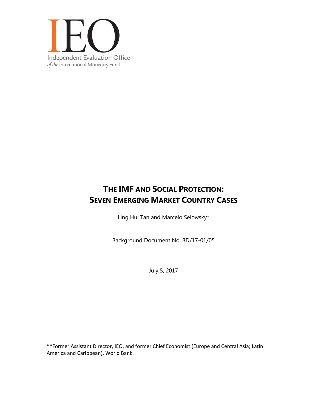

# **THE IMF AND SOCIAL PROTECTION: SEVEN EMERGING MARKET COUNTRY CASES**

Ling Hui Tan and Marcelo Selowsky\*

Background Document No. BD/17-01/05

July 5, 2017

\*\*Former Assistant Director, IEO, and former Chief Economist (Europe and Central Asia; Latin America and Caribbean), World Bank.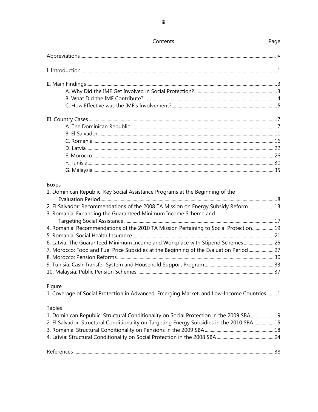| <b>Boxes</b>                                                                  |  |
|-------------------------------------------------------------------------------|--|
| 1. Dominican Republic: Key Social Assistance Programs at the Beginning of the |  |
|                                                                               |  |

| 2. El Salvador: Recommendations of the 2008 TA Mission on Energy Subsidy Reform  13    |  |
|----------------------------------------------------------------------------------------|--|
| 3. Romania: Expanding the Guaranteed Minimum Income Scheme and                         |  |
|                                                                                        |  |
| 4. Romania: Recommendations of the 2010 TA Mission Pertaining to Social Protection 19  |  |
|                                                                                        |  |
| 6. Latvia: The Guaranteed Minimum Income and Workplace with Stipend Schemes 25         |  |
| 7. Morocco: Food and Fuel Price Subsidies at the Beginning of the Evaluation Period 27 |  |
|                                                                                        |  |
|                                                                                        |  |
|                                                                                        |  |
|                                                                                        |  |

# Figure

1. Coverage of Social Protection in Advanced, Emerging Market, and Low-Income Countries.........1

## Tables

| 1. Dominican Republic: Structural Conditionality on Social Protection in the 2009 SBA9     |  |
|--------------------------------------------------------------------------------------------|--|
| 2. El Salvador: Structural Conditionality on Targeting Energy Subsidies in the 2010 SBA 15 |  |
|                                                                                            |  |
|                                                                                            |  |
|                                                                                            |  |

Contents

# Page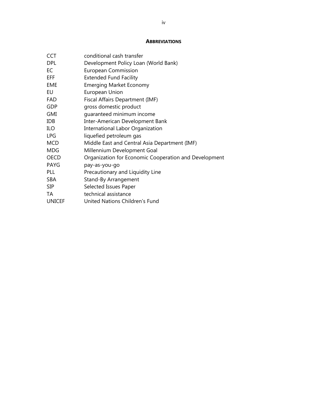### **ABBREVIATIONS**

| <b>CCT</b>    | conditional cash transfer                             |
|---------------|-------------------------------------------------------|
| <b>DPL</b>    | Development Policy Loan (World Bank)                  |
| EC            | <b>European Commission</b>                            |
| EFF.          | <b>Extended Fund Facility</b>                         |
| <b>EME</b>    | <b>Emerging Market Economy</b>                        |
| EU            | European Union                                        |
| FAD           | Fiscal Affairs Department (IMF)                       |
| <b>GDP</b>    | gross domestic product                                |
| GMI           | quaranteed minimum income                             |
| <b>IDB</b>    | Inter-American Development Bank                       |
| ILO           | <b>International Labor Organization</b>               |
| <b>LPG</b>    | liquefied petroleum gas                               |
| <b>MCD</b>    | Middle East and Central Asia Department (IMF)         |
| <b>MDG</b>    | Millennium Development Goal                           |
| <b>OECD</b>   | Organization for Economic Cooperation and Development |
| <b>PAYG</b>   | pay-as-you-go                                         |
| <b>PLL</b>    | Precautionary and Liquidity Line                      |
| <b>SBA</b>    | Stand-By Arrangement                                  |
| <b>SIP</b>    | Selected Issues Paper                                 |
| TA            | technical assistance                                  |
| <b>UNICEF</b> | United Nations Children's Fund                        |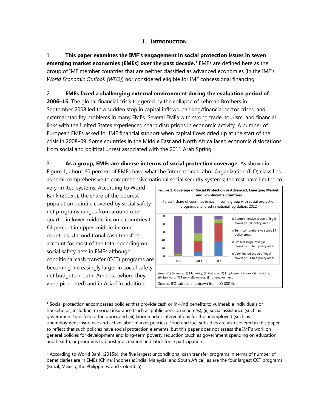# **I. INTRODUCTION**

1. **This paper examines the IMF's engagement in social protection issues in seven emerging market economies (EMEs) over the past decade.<sup>1</sup> EMEs are defined here as the** group of IMF member countries that are neither classified as advanced economies (in the IMF's *World Economic Outlook (WEO)*) nor considered eligible for IMF concessional financing.

# 2. **EMEs faced a challenging external environment during the evaluation period of**

**2006–15.** The global financial crisis triggered by the collapse of Lehman Brothers in September 2008 led to a sudden stop in capital inflows, banking/financial sector crises, and external stability problems in many EMEs. Several EMEs with strong trade, tourism, and financial links with the United States experienced sharp disruptions in economic activity. A number of European EMEs asked for IMF financial support when capital flows dried up at the start of the crisis in 2008–09. Some countries in the Middle East and North Africa faced economic dislocations from social and political unrest associated with the 2011 Arab Spring.

3. **As a group, EMEs are diverse in terms of social protection coverage.** As shown in Figure 1, about 60 percent of EMEs have what the International Labor Organization (ILO) classifies as semi-comprehensive to comprehensive national social security systems; the rest have limited to

very limited systems. According to World Bank (2015b), the share of the poorest population quintile covered by social safety net programs ranges from around onequarter in lower-middle-income countries to 64 percent in upper-middle-income countries. Unconditional cash transfers account for most of the total spending on social safety nets in EMEs although conditional cash transfer (CCT) programs are becoming increasingly larger in social safety net budgets in Latin America (where they were pioneered) and in Asia. $2$  In addition,



 $<sup>1</sup>$  Social protection encompasses policies that provide cash or in-kind benefits to vulnerable individuals or</sup> households, including: (i) social insurance (such as public pension schemes); (ii) social assistance (such as government transfers to the poor); and (iii) labor market interventions for the unemployed (such as unemployment insurance and active labor market policies). Food and fuel subsidies are also covered in this paper to reflect that such policies have social protection elements, but this paper does not assess the IMF's work on general policies for development and long-term poverty reduction (such as government spending on education and health), or programs to boost job creation and labor force participation.

 $<sup>2</sup>$  According to World Bank (2015b), the five largest unconditional cash transfer programs in terms of number of</sup> beneficiaries are in EMEs (China; Indonesia; India; Malaysia; and South Africa), as are the four largest CCT programs (Brazil; Mexico; the Philippines; and Colombia).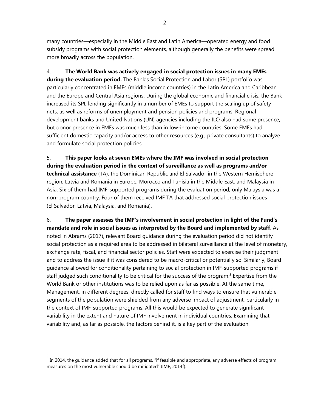many countries—especially in the Middle East and Latin America—operated energy and food subsidy programs with social protection elements, although generally the benefits were spread more broadly across the population.

4. **The World Bank was actively engaged in social protection issues in many EMEs during the evaluation period.** The Bank's Social Protection and Labor (SPL) portfolio was particularly concentrated in EMEs (middle income countries) in the Latin America and Caribbean and the Europe and Central Asia regions. During the global economic and financial crisis, the Bank increased its SPL lending significantly in a number of EMEs to support the scaling up of safety nets, as well as reforms of unemployment and pension policies and programs. Regional development banks and United Nations (UN) agencies including the ILO also had some presence, but donor presence in EMEs was much less than in low-income countries. Some EMEs had sufficient domestic capacity and/or access to other resources (e.g., private consultants) to analyze and formulate social protection policies.

5. **This paper looks at seven EMEs where the IMF was involved in social protection during the evaluation period in the context of surveillance as well as programs and/or technical assistance** (TA): the Dominican Republic and El Salvador in the Western Hemisphere region; Latvia and Romania in Europe; Morocco and Tunisia in the Middle East; and Malaysia in Asia. Six of them had IMF-supported programs during the evaluation period; only Malaysia was a non-program country. Four of them received IMF TA that addressed social protection issues (El Salvador, Latvia, Malaysia, and Romania).

# 6. **The paper assesses the IMF's involvement in social protection in light of the Fund's mandate and role in social issues as interpreted by the Board and implemented by staff**. As

noted in Abrams (2017), relevant Board guidance during the evaluation period did not identify social protection as a required area to be addressed in bilateral surveillance at the level of monetary, exchange rate, fiscal, and financial sector policies. Staff were expected to exercise their judgment and to address the issue if it was considered to be macro-critical or potentially so. Similarly, Board guidance allowed for conditionality pertaining to social protection in IMF-supported programs if staff judged such conditionality to be critical for the success of the program.<sup>3</sup> Expertise from the World Bank or other institutions was to be relied upon as far as possible. At the same time, Management, in different degrees, directly called for staff to find ways to ensure that vulnerable segments of the population were shielded from any adverse impact of adjustment, particularly in the context of IMF-supported programs. All this would be expected to generate significant variability in the extent and nature of IMF involvement in individual countries. Examining that variability and, as far as possible, the factors behind it, is a key part of the evaluation.

 $\overline{a}$ 

2

 $3$  In 2014, the guidance added that for all programs, "if feasible and appropriate, any adverse effects of program measures on the most vulnerable should be mitigated" (IMF, 2014f).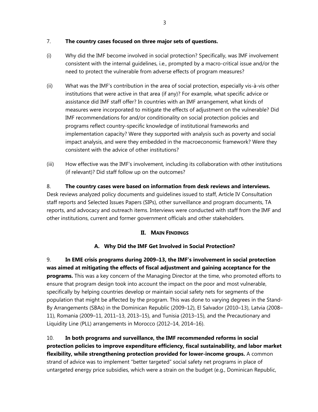# 7. **The country cases focused on three major sets of questions.**

- (i) Why did the IMF become involved in social protection? Specifically, was IMF involvement consistent with the internal guidelines, i.e., prompted by a macro-critical issue and/or the need to protect the vulnerable from adverse effects of program measures?
- (ii) What was the IMF's contribution in the area of social protection, especially vis-à-vis other institutions that were active in that area (if any)? For example, what specific advice or assistance did IMF staff offer? In countries with an IMF arrangement, what kinds of measures were incorporated to mitigate the effects of adjustment on the vulnerable? Did IMF recommendations for and/or conditionality on social protection policies and programs reflect country-specific knowledge of institutional frameworks and implementation capacity? Were they supported with analysis such as poverty and social impact analysis, and were they embedded in the macroeconomic framework? Were they consistent with the advice of other institutions?
- (iii) How effective was the IMF's involvement, including its collaboration with other institutions (if relevant)? Did staff follow up on the outcomes?

# 8. **The country cases were based on information from desk reviews and interviews.**

Desk reviews analyzed policy documents and guidelines issued to staff, Article IV Consultation staff reports and Selected Issues Papers (SIPs), other surveillance and program documents, TA reports, and advocacy and outreach items. Interviews were conducted with staff from the IMF and other institutions, current and former government officials and other stakeholders.

# **II. MAIN FINDINGS**

# **A. Why Did the IMF Get Involved in Social Protection?**

9. **In EME crisis programs during 2009–13, the IMF's involvement in social protection was aimed at mitigating the effects of fiscal adjustment and gaining acceptance for the programs.** This was a key concern of the Managing Director at the time, who promoted efforts to ensure that program design took into account the impact on the poor and most vulnerable, specifically by helping countries develop or maintain social safety nets for segments of the population that might be affected by the program. This was done to varying degrees in the Stand-By Arrangements (SBAs) in the Dominican Republic (2009–12), El Salvador (2010–13), Latvia (2008– 11), Romania (2009–11, 2011–13, 2013–15), and Tunisia (2013–15), and the Precautionary and Liquidity Line (PLL) arrangements in Morocco (2012–14, 2014–16).

10. **In both programs and surveillance, the IMF recommended reforms in social protection policies to improve expenditure efficiency, fiscal sustainability, and labor market flexibility, while strengthening protection provided for lower-income groups.** A common strand of advice was to implement "better targeted" social safety net programs in place of untargeted energy price subsidies, which were a strain on the budget (e.g., Dominican Republic,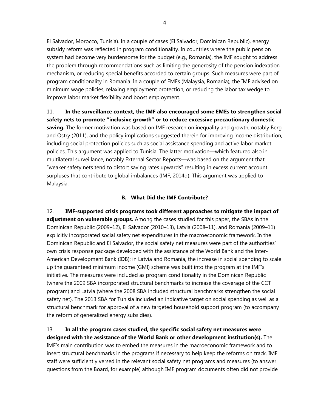El Salvador, Morocco, Tunisia). In a couple of cases (El Salvador, Dominican Republic), energy subsidy reform was reflected in program conditionality. In countries where the public pension system had become very burdensome for the budget (e.g., Romania), the IMF sought to address the problem through recommendations such as limiting the generosity of the pension indexation mechanism, or reducing special benefits accorded to certain groups. Such measures were part of program conditionality in Romania. In a couple of EMEs (Malaysia, Romania), the IMF advised on minimum wage policies, relaxing employment protection, or reducing the labor tax wedge to improve labor market flexibility and boost employment.

11. **In the surveillance context, the IMF also encouraged some EMEs to strengthen social safety nets to promote "inclusive growth" or to reduce excessive precautionary domestic saving.** The former motivation was based on IMF research on inequality and growth, notably Berg and Ostry (2011), and the policy implications suggested therein for improving income distribution, including social protection policies such as social assistance spending and active labor market policies. This argument was applied to Tunisia. The latter motivation—which featured also in multilateral surveillance, notably External Sector Reports—was based on the argument that "weaker safety nets tend to distort saving rates upwards" resulting in excess current account surpluses that contribute to global imbalances (IMF, 2014d). This argument was applied to Malaysia.

### **B. What Did the IMF Contribute?**

12. **IMF-supported crisis programs took different approaches to mitigate the impact of adjustment on vulnerable groups.** Among the cases studied for this paper, the SBAs in the Dominican Republic (2009–12), El Salvador (2010–13), Latvia (2008–11), and Romania (2009–11) explicitly incorporated social safety net expenditures in the macroeconomic framework. In the Dominican Republic and El Salvador, the social safety net measures were part of the authorities' own crisis response package developed with the assistance of the World Bank and the Inter-American Development Bank (IDB); in Latvia and Romania, the increase in social spending to scale up the guaranteed minimum income (GMI) scheme was built into the program at the IMF's initiative. The measures were included as program conditionality in the Dominican Republic (where the 2009 SBA incorporated structural benchmarks to increase the coverage of the CCT program) and Latvia (where the 2008 SBA included structural benchmarks strengthen the social safety net). The 2013 SBA for Tunisia included an indicative target on social spending as well as a structural benchmark for approval of a new targeted household support program (to accompany the reform of generalized energy subsidies).

13. **In all the program cases studied, the specific social safety net measures were designed with the assistance of the World Bank or other development institution(s).** The IMF's main contribution was to embed the measures in the macroeconomic framework and to insert structural benchmarks in the programs if necessary to help keep the reforms on track. IMF staff were sufficiently versed in the relevant social safety net programs and measures (to answer questions from the Board, for example) although IMF program documents often did not provide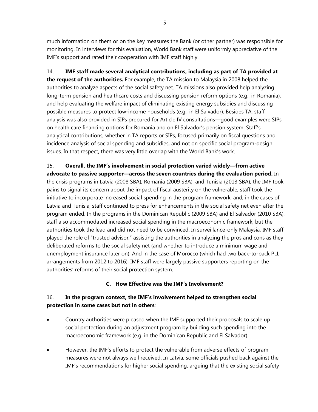much information on them or on the key measures the Bank (or other partner) was responsible for monitoring. In interviews for this evaluation, World Bank staff were uniformly appreciative of the IMF's support and rated their cooperation with IMF staff highly.

14. **IMF staff made several analytical contributions, including as part of TA provided at the request of the authorities.** For example, the TA mission to Malaysia in 2008 helped the authorities to analyze aspects of the social safety net. TA missions also provided help analyzing long-term pension and healthcare costs and discussing pension reform options (e.g., in Romania), and help evaluating the welfare impact of eliminating existing energy subsidies and discussing possible measures to protect low-income households (e.g., in El Salvador). Besides TA, staff analysis was also provided in SIPs prepared for Article IV consultations—good examples were SIPs on health care financing options for Romania and on El Salvador's pension system. Staff's analytical contributions, whether in TA reports or SIPs, focused primarily on fiscal questions and incidence analysis of social spending and subsidies, and not on specific social program-design issues. In that respect, there was very little overlap with the World Bank's work.

15. **Overall, the IMF's involvement in social protection varied widely—from active advocate to passive supporter—across the seven countries during the evaluation period.** In the crisis programs in Latvia (2008 SBA), Romania (2009 SBA), and Tunisia (2013 SBA), the IMF took pains to signal its concern about the impact of fiscal austerity on the vulnerable; staff took the initiative to incorporate increased social spending in the program framework; and, in the cases of Latvia and Tunisia, staff continued to press for enhancements in the social safety net even after the program ended. In the programs in the Dominican Republic (2009 SBA) and El Salvador (2010 SBA), staff also accommodated increased social spending in the macroeconomic framework, but the authorities took the lead and did not need to be convinced. In surveillance-only Malaysia, IMF staff played the role of "trusted advisor," assisting the authorities in analyzing the pros and cons as they deliberated reforms to the social safety net (and whether to introduce a minimum wage and unemployment insurance later on). And in the case of Morocco (which had two back-to-back PLL arrangements from 2012 to 2016), IMF staff were largely passive supporters reporting on the authorities' reforms of their social protection system.

# **C. How Effective was the IMF's Involvement?**

# 16. **In the program context, the IMF's involvement helped to strengthen social protection in some cases but not in others**:

- Country authorities were pleased when the IMF supported their proposals to scale up social protection during an adjustment program by building such spending into the macroeconomic framework (e.g. in the Dominican Republic and El Salvador).
- However, the IMF's efforts to protect the vulnerable from adverse effects of program measures were not always well received. In Latvia, some officials pushed back against the IMF's recommendations for higher social spending, arguing that the existing social safety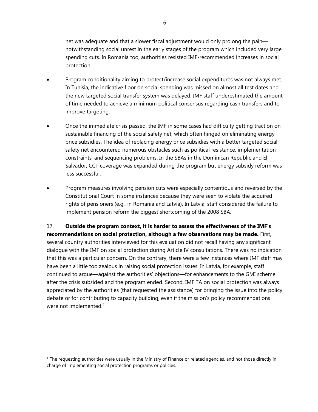net was adequate and that a slower fiscal adjustment would only prolong the pain notwithstanding social unrest in the early stages of the program which included very large spending cuts. In Romania too, authorities resisted IMF-recommended increases in social protection.

- Program conditionality aiming to protect/increase social expenditures was not always met. In Tunisia, the indicative floor on social spending was missed on almost all test dates and the new targeted social transfer system was delayed. IMF staff underestimated the amount of time needed to achieve a minimum political consensus regarding cash transfers and to improve targeting.
- Once the immediate crisis passed, the IMF in some cases had difficulty getting traction on sustainable financing of the social safety net, which often hinged on eliminating energy price subsidies. The idea of replacing energy price subsidies with a better targeted social safety net encountered numerous obstacles such as political resistance, implementation constraints, and sequencing problems. In the SBAs in the Dominican Republic and El Salvador, CCT coverage was expanded during the program but energy subsidy reform was less successful.
- Program measures involving pension cuts were especially contentious and reversed by the Constitutional Court in some instances because they were seen to violate the acquired rights of pensioners (e.g., in Romania and Latvia). In Latvia, staff considered the failure to implement pension reform the biggest shortcoming of the 2008 SBA.

17. **Outside the program context, it is harder to assess the effectiveness of the IMF's recommendations on social protection, although a few observations may be made.** First, several country authorities interviewed for this evaluation did not recall having any significant dialogue with the IMF on social protection during Article IV consultations. There was no indication that this was a particular concern. On the contrary, there were a few instances where IMF staff may have been a little too zealous in raising social protection issues. In Latvia, for example, staff continued to argue—against the authorities' objections—for enhancements to the GMI scheme after the crisis subsided and the program ended. Second, IMF TA on social protection was always appreciated by the authorities (that requested the assistance) for bringing the issue into the policy debate or for contributing to capacity building, even if the mission's policy recommendations were not implemented.<sup>4</sup>

<sup>&</sup>lt;sup>4</sup> The requesting authorities were usually in the Ministry of Finance or related agencies, and not those directly in charge of implementing social protection programs or policies.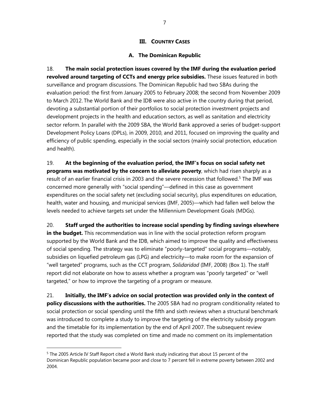### **III. COUNTRY CASES**

### **A. The Dominican Republic**

18. **The main social protection issues covered by the IMF during the evaluation period revolved around targeting of CCTs and energy price subsidies.** These issues featured in both surveillance and program discussions. The Dominican Republic had two SBAs during the evaluation period: the first from January 2005 to February 2008; the second from November 2009 to March 2012. The World Bank and the IDB were also active in the country during that period, devoting a substantial portion of their portfolios to social protection investment projects and development projects in the health and education sectors, as well as sanitation and electricity sector reform. In parallel with the 2009 SBA, the World Bank approved a series of budget-support Development Policy Loans (DPLs), in 2009, 2010, and 2011, focused on improving the quality and efficiency of public spending, especially in the social sectors (mainly social protection, education and health).

19. **At the beginning of the evaluation period, the IMF's focus on social safety net programs was motivated by the concern to alleviate poverty**, which had risen sharply as a result of an earlier financial crisis in 2003 and the severe recession that followed.<sup>5</sup> The IMF was concerned more generally with "social spending"—defined in this case as government expenditures on the social safety net (excluding social security), plus expenditures on education, health, water and housing, and municipal services (IMF, 2005)—which had fallen well below the levels needed to achieve targets set under the Millennium Development Goals (MDGs).

20. **Staff urged the authorities to increase social spending by finding savings elsewhere in the budget.** This recommendation was in line with the social protection reform program supported by the World Bank and the IDB, which aimed to improve the quality and effectiveness of social spending. The strategy was to eliminate "poorly-targeted" social programs—notably, subsidies on liquefied petroleum gas (LPG) and electricity—to make room for the expansion of "well targeted" programs, such as the CCT program, *Solidaridad* (IMF, 2008) (Box 1). The staff report did not elaborate on how to assess whether a program was "poorly targeted" or "well targeted," or how to improve the targeting of a program or measure.

21. **Initially, the IMF's advice on social protection was provided only in the context of policy discussions with the authorities.** The 2005 SBA had no program conditionality related to social protection or social spending until the fifth and sixth reviews when a structural benchmark was introduced to complete a study to improve the targeting of the electricity subsidy program and the timetable for its implementation by the end of April 2007. The subsequent review reported that the study was completed on time and made no comment on its implementation

<sup>&</sup>lt;sup>5</sup> The 2005 Article IV Staff Report cited a World Bank study indicating that about 15 percent of the Dominican Republic population became poor and close to 7 percent fell in extreme poverty between 2002 and 2004.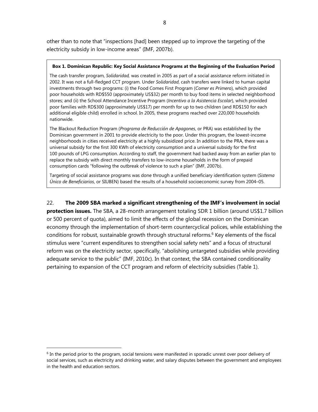other than to note that "inspections [had] been stepped up to improve the targeting of the electricity subsidy in low-income areas" (IMF, 2007b).

### **Box 1. Dominican Republic: Key Social Assistance Programs at the Beginning of the Evaluation Period**

The cash transfer program, *Solidaridad,* was created in 2005 as part of a social assistance reform initiated in 2002. It was not a full-fledged CCT program. Under *Solidaridad*, cash transfers were linked to human capital investments through two programs: (i) the Food Comes First Program (*Comer es Primero*), which provided poor households with RD\$550 (approximately US\$32) per month to buy food items in selected neighborhood stores; and (ii) the School Attendance Incentive Program (*Incentivo a la Asistencia Escolar*), which provided poor families with RD\$300 (approximately US\$17) per month for up to two children (and RD\$150 for each additional eligible child) enrolled in school. In 2005, these programs reached over 220,000 households nationwide.

The Blackout Reduction Program (*Programa de Reducción de Apagones*, or PRA) was established by the Dominican government in 2001 to provide electricity to the poor. Under this program, the lowest-income neighborhoods in cities received electricity at a highly subsidized price. In addition to the PRA, there was a universal subsidy for the first 300 KWh of electricity consumption and a universal subsidy for the first 100 pounds of LPG consumption. According to staff, the government had backed away from an earlier plan to replace the subsidy with direct monthly transfers to low-income households in the form of prepaid consumption cards "following the outbreak of violence to such a plan" (IMF, 2007b).

Targeting of social assistance programs was done through a unified beneficiary identification system (*Sistema Único de Beneficiarios*, or SIUBEN) based the results of a household socioeconomic survey from 2004–05.

### 22. **The 2009 SBA marked a significant strengthening of the IMF's involvement in social**

**protection issues.** The SBA, a 28-month arrangement totaling SDR 1 billion (around US\$1.7 billion or 500 percent of quota), aimed to limit the effects of the global recession on the Dominican economy through the implementation of short-term countercyclical polices, while establishing the conditions for robust, sustainable growth through structural reforms.<sup>6</sup> Key elements of the fiscal stimulus were "current expenditures to strengthen social safety nets" and a focus of structural reform was on the electricity sector, specifically, "abolishing untargeted subsidies while providing adequate service to the public" (IMF, 2010c). In that context, the SBA contained conditionality pertaining to expansion of the CCT program and reform of electricity subsidies (Table 1).

 $6$  In the period prior to the program, social tensions were manifested in sporadic unrest over poor delivery of social services, such as electricity and drinking water, and salary disputes between the government and employees in the health and education sectors.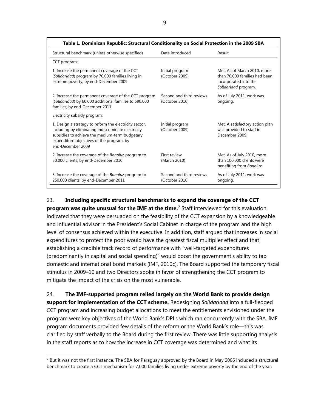| Table 1. Dominican Republic: Structural Conditionality on Social Protection in the 2009 SBA                                                                                                                                       |                                            |                                                                                                               |
|-----------------------------------------------------------------------------------------------------------------------------------------------------------------------------------------------------------------------------------|--------------------------------------------|---------------------------------------------------------------------------------------------------------------|
| Structural benchmark (unless otherwise specified)                                                                                                                                                                                 | Date introduced                            | Result                                                                                                        |
| CCT program:                                                                                                                                                                                                                      |                                            |                                                                                                               |
| 1. Increase the permanent coverage of the CCT<br>(Solidaridad) program by 70,000 families living in<br>extreme poverty; by end-December 2009                                                                                      | Initial program<br>(October 2009)          | Met. As of March 2010, more<br>than 70,000 families had been<br>incorporated into the<br>Solidaridad program. |
| 2. Increase the permanent coverage of the CCT program<br>(Solidaridad) by 60,000 additional families to 590,000<br>families; by end-December 2011                                                                                 | Second and third reviews<br>(October 2010) | As of July 2011, work was<br>ongoing.                                                                         |
| Electricity subsidy program:                                                                                                                                                                                                      |                                            |                                                                                                               |
| 1. Design a strategy to reform the electricity sector,<br>including by eliminating indiscriminate electricity<br>subsidies to achieve the medium-term budgetary<br>expenditure objectives of the program; by<br>end-December 2009 | Initial program<br>(October 2009)          | Met. A satisfactory action plan<br>was provided to staff in<br>December 2009.                                 |
| 2. Increase the coverage of the Bonoluz program to<br>50,000 clients; by end-December 2010                                                                                                                                        | First review<br>(March 2010)               | Met. As of July 2010, more<br>than 100,000 clients were<br>benefiting from Bonoluz.                           |
| 3. Increase the coverage of the Bonoluz program to<br>250,000 clients; by end-December 2011                                                                                                                                       | Second and third reviews<br>(October 2010) | As of July 2011, work was<br>ongoing.                                                                         |

## 23. **Including specific structural benchmarks to expand the coverage of the CCT**

**program was quite unusual for the IMF at the time.7** Staff interviewed for this evaluation indicated that they were persuaded on the feasibility of the CCT expansion by a knowledgeable and influential advisor in the President's Social Cabinet in charge of the program and the high level of consensus achieved within the executive. In addition, staff argued that increases in social expenditures to protect the poor would have the greatest fiscal multiplier effect and that establishing a credible track record of performance with "well-targeted expenditures (predominantly in capital and social spending)" would boost the government's ability to tap domestic and international bond markets (IMF, 2010c). The Board supported the temporary fiscal stimulus in 2009–10 and two Directors spoke in favor of strengthening the CCT program to mitigate the impact of the crisis on the most vulnerable.

24. **The IMF-supported program relied largely on the World Bank to provide design support for implementation of the CCT scheme.** Redesigning *Solidaridad* into a full-fledged CCT program and increasing budget allocations to meet the entitlements envisioned under the program were key objectives of the World Bank's DPLs which ran concurrently with the SBA. IMF program documents provided few details of the reform or the World Bank's role—this was clarified by staff verbally to the Board during the first review. There was little supporting analysis in the staff reports as to how the increase in CCT coverage was determined and what its

 $7$  But it was not the first instance. The SBA for Paraguay approved by the Board in May 2006 included a structural benchmark to create a CCT mechanism for 7,000 families living under extreme poverty by the end of the year.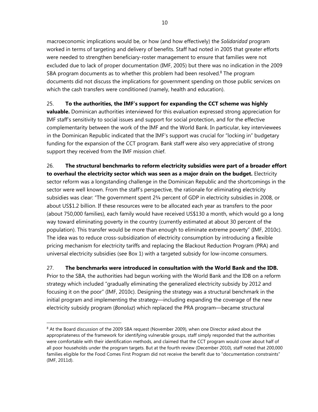macroeconomic implications would be, or how (and how effectively) the *Solidaridad* program worked in terms of targeting and delivery of benefits. Staff had noted in 2005 that greater efforts were needed to strengthen beneficiary-roster management to ensure that families were not excluded due to lack of proper documentation (IMF, 2005) but there was no indication in the 2009 SBA program documents as to whether this problem had been resolved. $8$  The program documents did not discuss the implications for government spending on those public services on which the cash transfers were conditioned (namely, health and education).

# 25. **To the authorities, the IMF's support for expanding the CCT scheme was highly**

**valuable.** Dominican authorities interviewed for this evaluation expressed strong appreciation for IMF staff's sensitivity to social issues and support for social protection, and for the effective complementarity between the work of the IMF and the World Bank. In particular, key interviewees in the Dominican Republic indicated that the IMF's support was crucial for "locking in" budgetary funding for the expansion of the CCT program. Bank staff were also very appreciative of strong support they received from the IMF mission chief.

26. **The structural benchmarks to reform electricity subsidies were part of a broader effort to overhaul the electricity sector which was seen as a major drain on the budget.** Electricity sector reform was a longstanding challenge in the Dominican Republic and the shortcomings in the sector were well known. From the staff's perspective, the rationale for eliminating electricity subsidies was clear: "The government spent 2¾ percent of GDP in electricity subsidies in 2008, or about US\$1.2 billion. If these resources were to be allocated each year as transfers to the poor (about 750,000 families), each family would have received US\$130 a month, which would go a long way toward eliminating poverty in the country (currently estimated at about 30 percent of the population). This transfer would be more than enough to eliminate extreme poverty" (IMF, 2010c). The idea was to reduce cross-subsidization of electricity consumption by introducing a flexible pricing mechanism for electricity tariffs and replacing the Blackout Reduction Program (PRA) and universal electricity subsidies (see Box 1) with a targeted subsidy for low-income consumers.

27. **The benchmarks were introduced in consultation with the World Bank and the IDB.** Prior to the SBA, the authorities had begun working with the World Bank and the IDB on a reform strategy which included "gradually eliminating the generalized electricity subsidy by 2012 and focusing it on the poor" (IMF, 2010c). Designing the strategy was a structural benchmark in the initial program and implementing the strategy—including expanding the coverage of the new electricity subsidy program (*Bonoluz*) which replaced the PRA program—became structural

<sup>&</sup>lt;sup>8</sup> At the Board discussion of the 2009 SBA request (November 2009), when one Director asked about the appropriateness of the framework for identifying vulnerable groups, staff simply responded that the authorities were comfortable with their identification methods, and claimed that the CCT program would cover about half of all poor households under the program targets. But at the fourth review (December 2010), staff noted that 200,000 families eligible for the Food Comes First Program did not receive the benefit due to "documentation constraints" (IMF, 2011d).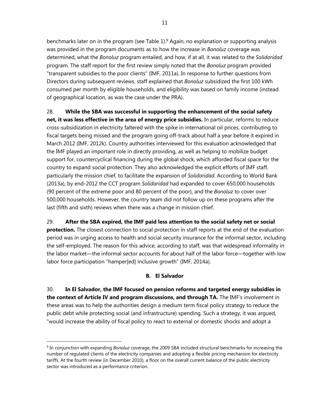benchmarks later on in the program (see Table 1).<sup>9</sup> Again, no explanation or supporting analysis was provided in the program documents as to how the increase in *Bonoluz* coverage was determined, what the *Bonoluz* program entailed, and how, if at all, it was related to the *Solidaridad* program. The staff report for the first review simply noted that the *Bonoluz* program provided "transparent subsidies to the poor clients" (IMF, 2011a). In response to further questions from Directors during subsequent reviews, staff explained that *Bonoluz* subsidized the first 100 kWh consumed per month by eligible households, and eligibility was based on family income (instead of geographical location, as was the case under the PRA).

28. **While the SBA was successful in supporting the enhancement of the social safety net, it was less effective in the area of energy price subsidies.** In particular, reforms to reduce cross-subsidization in electricity faltered with the spike in international oil prices, contributing to fiscal targets being missed and the program going off-track about half a year before it expired in March 2012 (IMF, 2012k). Country authorities interviewed for this evaluation acknowledged that the IMF played an important role in directly providing, as well as helping to mobilize budget support for, countercyclical financing during the global shock, which afforded fiscal space for the country to expand social protection. They also acknowledged the explicit efforts of IMF staff, particularly the mission chief, to facilitate the expansion of *Solidaridad*. According to World Bank (2013a), by end-2012 the CCT program *Solidaridad* had expanded to cover 650,000 households (90 percent of the extreme poor and 80 percent of the poor), and the *Bonoluz* to cover over 500,000 households. However, the country team did not follow up on these programs after the last (fifth and sixth) reviews when there was a change in mission chief.

29. **After the SBA expired, the IMF paid less attention to the social safety net or social protection.** The closest connection to social protection in staff reports at the end of the evaluation period was in urging access to health and social security insurance for the informal sector, including the self-employed. The reason for this advice, according to staff, was that widespread informality in the labor market—the informal sector accounts for about half of the labor force—together with low labor force participation "hamper[ed] inclusive growth" (IMF, 2014a).

## **B. El Salvador**

30. **In El Salvador, the IMF focused on pension reforms and targeted energy subsidies in the context of Article IV and program discussions, and through TA.** The IMF's involvement in these areas was to help the authorities design a medium term fiscal policy strategy to reduce the public debt while protecting social (and infrastructure) spending. Such a strategy, it was argued, "would increase the ability of fiscal policy to react to external or domestic shocks and adopt a

<sup>9</sup> In conjunction with expanding *Bonoluz* coverage, the 2009 SBA included structural benchmarks for increasing the number of regulated clients of the electricity companies and adopting a flexible pricing mechanism for electricity tariffs. At the fourth review (in December 2010), a floor on the overall current balance of the public electricity sector was introduced as a performance criterion.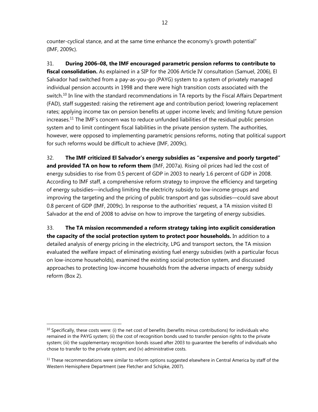counter-cyclical stance, and at the same time enhance the economy's growth potential" (IMF, 2009c).

31. **During 2006–08, the IMF encouraged parametric pension reforms to contribute to fiscal consolidation.** As explained in a SIP for the 2006 Article IV consultation (Samuel, 2006), El Salvador had switched from a pay-as-you-go (PAYG) system to a system of privately managed individual pension accounts in 1998 and there were high transition costs associated with the switch.<sup>10</sup> In line with the standard recommendations in TA reports by the Fiscal Affairs Department (FAD), staff suggested: raising the retirement age and contribution period; lowering replacement rates; applying income tax on pension benefits at upper income levels; and limiting future pension increases.11 The IMF's concern was to reduce unfunded liabilities of the residual public pension system and to limit contingent fiscal liabilities in the private pension system. The authorities, however, were opposed to implementing parametric pensions reforms, noting that political support for such reforms would be difficult to achieve (IMF, 2009c).

32. **The IMF criticized El Salvador's energy subsidies as "expensive and poorly targeted" and provided TA on how to reform them** (IMF, 2007a). Rising oil prices had led the cost of energy subsidies to rise from 0.5 percent of GDP in 2003 to nearly 1.6 percent of GDP in 2008. According to IMF staff, a comprehensive reform strategy to improve the efficiency and targeting of energy subsidies—including limiting the electricity subsidy to low-income groups and improving the targeting and the pricing of public transport and gas subsidies—could save about 0.8 percent of GDP (IMF, 2009c). In response to the authorities' request, a TA mission visited El Salvador at the end of 2008 to advise on how to improve the targeting of energy subsidies.

33. **The TA mission recommended a reform strategy taking into explicit consideration the capacity of the social protection system to protect poor households.** In addition to a detailed analysis of energy pricing in the electricity, LPG and transport sectors, the TA mission evaluated the welfare impact of eliminating existing fuel energy subsidies (with a particular focus on low-income households), examined the existing social protection system, and discussed approaches to protecting low-income households from the adverse impacts of energy subsidy reform (Box 2).

 $10$  Specifically, these costs were: (i) the net cost of benefits (benefits minus contributions) for individuals who remained in the PAYG system; (ii) the cost of recognition bonds used to transfer pension rights to the private system; (iii) the supplementary recognition bonds issued after 2003 to guarantee the benefits of individuals who chose to transfer to the private system; and (iv) administrative costs.

 $11$  These recommendations were similar to reform options suggested elsewhere in Central America by staff of the Western Hemisphere Department (see Fletcher and Schipke, 2007).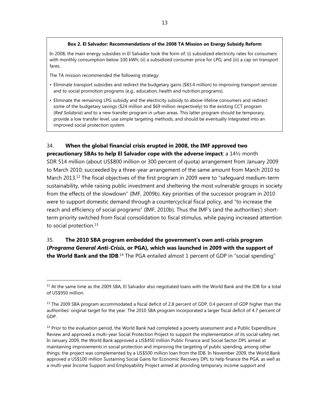#### **Box 2. El Salvador: Recommendations of the 2008 TA Mission on Energy Subsidy Reform**

In 2008, the main energy subsidies in El Salvador took the form of: (i) subsidized electricity rates for consumers with monthly consumption below 100 kWh; (ii) a subsidized consumer price for LPG; and (iii) a cap on transport fares.

The TA mission recommended the following strategy:

 $\overline{a}$ 

- Eliminate transport subsidies and redirect the budgetary gains (\$83.4 million) to improving transport services and to social promotion programs (e.g., education, health and nutrition programs).
- Eliminate the remaining LPG subsidy and the electricity subsidy to above-lifeline consumers and redirect some of the budgetary savings (\$24 million and \$69 million respectively) to the existing CCT program (*Red Solidaria*) and to a new transfer program in urban areas. This latter program should be temporary, provide a low transfer level, use simple targeting methods, and should be eventually integrated into an improved social protection system.

# 34. **When the global financial crisis erupted in 2008, the IMF approved two**

**precautionary SBAs to help El Salvador cope with the adverse impact**: a 14½ month SDR 514 million (about US\$800 million or 300 percent of quota) arrangement from January 2009 to March 2010; succeeded by a three-year arrangement of the same amount from March 2010 to March 2013.<sup>12</sup> The fiscal objectives of the first program in 2009 were to "safeguard medium-term sustainability, while raising public investment and sheltering the most vulnerable groups in society from the effects of the slowdown" (IMF, 2009b). Key priorities of the successor program in 2010 were to support domestic demand through a countercyclical fiscal policy, and "to increase the reach and efficiency of social programs" (IMF, 2010b). Thus the IMF's (and the authorities') shortterm priority switched from fiscal consolidation to fiscal stimulus, while paying increased attention to social protection.<sup>13</sup>

# 35. **The 2010 SBA program embedded the government's own anti-crisis program (***Programa General Anti-Crisis***, or PGA), which was launched in 2009 with the support of the World Bank and the IDB**.<sup>14</sup> The PGA entailed almost 1 percent of GDP in "social spending"

 $12$  At the same time as the 2009 SBA, El Salvador also negotiated loans with the World Bank and the IDB for a total of US\$950 million.

 $<sup>13</sup>$  The 2009 SBA program accommodated a fiscal deficit of 2.8 percent of GDP, 0.4 percent of GDP higher than the</sup> authorities' original target for the year. The 2010 SBA program incorporated a larger fiscal deficit of 4.7 percent of GDP.

<sup>&</sup>lt;sup>14</sup> Prior to the evaluation period, the World Bank had completed a poverty assessment and a Public Expenditure Review and approved a multi-year Social Protection Project to support the implementation of its social safety net. In January 2009, the World Bank approved a US\$450 million Public Finance and Social Sector DPL aimed at maintaining improvements in social protection and improving the targeting of public spending, among other things; the project was complemented by a US\$500 million loan from the IDB. In November 2009, the World Bank approved a US\$100 million Sustaining Social Gains for Economic Recovery DPL to help finance the PGA, as well as a multi-year Income Support and Employability Project aimed at providing temporary income support and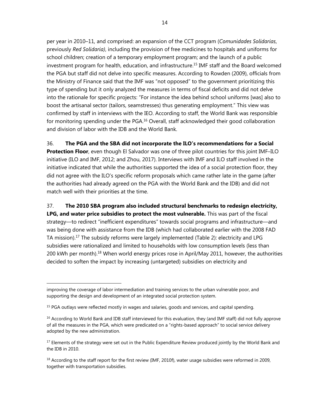per year in 2010–11, and comprised: an expansion of the CCT program (*Comunidades Solidarias*, previously *Red Solidaria)*, including the provision of free medicines to hospitals and uniforms for school children; creation of a temporary employment program; and the launch of a public investment program for health, education, and infrastructure.15 IMF staff and the Board welcomed the PGA but staff did not delve into specific measures. According to Rowden (2009), officials from the Ministry of Finance said that the IMF was "not opposed" to the government prioritizing this type of spending but it only analyzed the measures in terms of fiscal deficits and did not delve into the rationale for specific projects: "For instance the idea behind school uniforms [was] also to boost the artisanal sector (tailors, seamstresses) thus generating employment." This view was confirmed by staff in interviews with the IEO. According to staff, the World Bank was responsible for monitoring spending under the PGA.<sup>16</sup> Overall, staff acknowledged their good collaboration and division of labor with the IDB and the World Bank.

36. **The PGA and the SBA did not incorporate the ILO's recommendations for a Social Protection Floor**, even though El Salvador was one of three pilot countries for this joint IMF–ILO initiative (ILO and IMF, 2012; and Zhou, 2017). Interviews with IMF and ILO staff involved in the initiative indicated that while the authorities supported the idea of a social protection floor, they did not agree with the ILO's specific reform proposals which came rather late in the game (after the authorities had already agreed on the PGA with the World Bank and the IDB) and did not match well with their priorities at the time.

37. **The 2010 SBA program also included structural benchmarks to redesign electricity, LPG, and water price subsidies to protect the most vulnerable.** This was part of the fiscal strategy—to redirect "inefficient expenditures" towards social programs and infrastructure—and was being done with assistance from the IDB (which had collaborated earlier with the 2008 FAD TA mission).<sup>17</sup> The subsidy reforms were largely implemented (Table 2): electricity and LPG subsidies were rationalized and limited to households with low consumption levels (less than 200 kWh per month).<sup>18</sup> When world energy prices rose in April/May 2011, however, the authorities decided to soften the impact by increasing (untargeted) subsidies on electricity and

improving the coverage of labor intermediation and training services to the urban vulnerable poor, and supporting the design and development of an integrated social protection system.

<sup>&</sup>lt;sup>15</sup> PGA outlays were reflected mostly in wages and salaries, goods and services, and capital spending.

<sup>&</sup>lt;sup>16</sup> According to World Bank and IDB staff interviewed for this evaluation, they (and IMF staff) did not fully approve of all the measures in the PGA, which were predicated on a "rights-based approach" to social service delivery adopted by the new administration.

<sup>&</sup>lt;sup>17</sup> Elements of the strategy were set out in the Public Expenditure Review produced jointly by the World Bank and the IDB in 2010.

 $18$  According to the staff report for the first review (IMF, 2010f), water usage subsidies were reformed in 2009, together with transportation subsidies.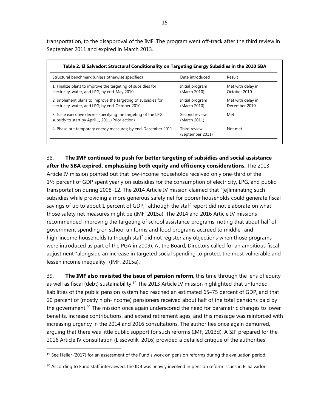transportation, to the disapproval of the IMF. The program went off-track after the third review in September 2011 and expired in March 2013.

| Structural benchmark (unless otherwise specified)                                                                 | Date introduced                  | Result                             |
|-------------------------------------------------------------------------------------------------------------------|----------------------------------|------------------------------------|
| 1. Finalize plans to improve the targeting of subsidies for<br>electricity, water, and LPG; by end-May 2010       | Initial program<br>(March 2010)  | Met with delay in<br>October 2010  |
| 2. Implement plans to improve the targeting of subsidies for<br>electricity, water, and LPG; by end-October 2010  | Initial program<br>(March 2010)  | Met with delay in<br>December 2010 |
| 3. Issue executive decree specifying the targeting of the LPG<br>subsidy to start by April 1, 2011 (Prior action) | Second review<br>(March 2011)    | Met                                |
| 4. Phase out temporary energy measures; by end-December 2011                                                      | Third review<br>(September 2011) | Not met                            |

38. **The IMF continued to push for better targeting of subsidies and social assistance after the SBA expired, emphasizing both equity and efficiency considerations.** The 2013

Article IV mission pointed out that low-income households received only one-third of the 1½ percent of GDP spent yearly on subsidies for the consumption of electricity, LPG, and public transportation during 2008–12. The 2014 Article IV mission claimed that "[e]liminating such subsidies while providing a more generous safety net for poorer households could generate fiscal savings of up to about 1 percent of GDP," although the staff report did not elaborate on what those safety net measures might be (IMF, 2015a). The 2014 and 2016 Article IV missions recommended improving the targeting of school assistance programs, noting that about half of government spending on school uniforms and food programs accrued to middle- and high-income households (although staff did not register any objections when those programs were introduced as part of the PGA in 2009). At the Board, Directors called for an ambitious fiscal adjustment "alongside an increase in targeted social spending to protect the most vulnerable and lessen income inequality" (IMF, 2015a).

39. **The IMF also revisited the issue of pension reform**, this time through the lens of equity as well as fiscal (debt) sustainability.<sup>19</sup> The 2013 Article IV mission highlighted that unfunded liabilities of the public pension system had reached an estimated 65–75 percent of GDP, and that 20 percent of (mostly high-income) pensioners received about half of the total pensions paid by the government.<sup>20</sup> The mission once again underscored the need for parametric changes to lower benefits, increase contributions, and extend retirement ages, and this message was reinforced with increasing urgency in the 2014 and 2016 consultations. The authorities once again demurred, arguing that there was little public support for such reforms (IMF, 2013d). A SIP prepared for the 2016 Article IV consultation (Lissovolik, 2016) provided a detailed critique of the authorities'

<sup>&</sup>lt;sup>19</sup> See Heller (2017) for an assessment of the Fund's work on pension reforms during the evaluation period.

 $^{20}$  According to Fund staff interviewed, the IDB was heavily involved in pension reform issues in El Salvador.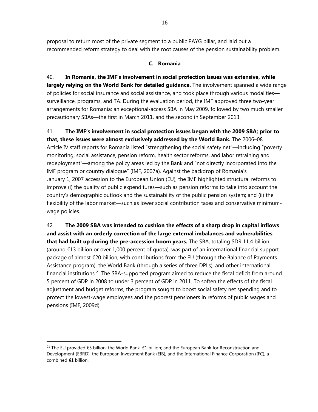proposal to return most of the private segment to a public PAYG pillar, and laid out a recommended reform strategy to deal with the root causes of the pension sustainability problem.

### **C. Romania**

40. **In Romania, the IMF's involvement in social protection issues was extensive, while largely relying on the World Bank for detailed guidance.** The involvement spanned a wide range of policies for social insurance and social assistance, and took place through various modalities surveillance, programs, and TA. During the evaluation period, the IMF approved three two-year arrangements for Romania: an exceptional-access SBA in May 2009, followed by two much smaller precautionary SBAs—the first in March 2011, and the second in September 2013.

41. **The IMF's involvement in social protection issues began with the 2009 SBA; prior to that, these issues were almost exclusively addressed by the World Bank.** The 2006–08 Article IV staff reports for Romania listed "strengthening the social safety net"—including "poverty monitoring, social assistance, pension reform, health sector reforms, and labor retraining and redeployment"—among the policy areas led by the Bank and "not directly incorporated into the IMF program or country dialogue" (IMF, 2007a). Against the backdrop of Romania's January 1, 2007 accession to the European Union (EU), the IMF highlighted structural reforms to improve (i) the quality of public expenditures—such as pension reforms to take into account the country's demographic outlook and the sustainability of the public pension system; and (ii) the flexibility of the labor market—such as lower social contribution taxes and conservative minimumwage policies.

42. **The 2009 SBA was intended to cushion the effects of a sharp drop in capital inflows and assist with an orderly correction of the large external imbalances and vulnerabilities that had built up during the pre-accession boom years.** The SBA, totaling SDR 11.4 billion (around €13 billion or over 1,000 percent of quota), was part of an international financial support package of almost €20 billion, with contributions from the EU (through the Balance of Payments Assistance program), the World Bank (through a series of three DPLs), and other international financial institutions.<sup>21</sup> The SBA-supported program aimed to reduce the fiscal deficit from around 5 percent of GDP in 2008 to under 3 percent of GDP in 2011. To soften the effects of the fiscal adjustment and budget reforms, the program sought to boost social safety net spending and to protect the lowest-wage employees and the poorest pensioners in reforms of public wages and pensions (IMF, 2009d).

<sup>21</sup> The EU provided €5 billion; the World Bank, €1 billion; and the European Bank for Reconstruction and Development (EBRD), the European Investment Bank (EIB), and the International Finance Corporation (IFC), a combined €1 billion.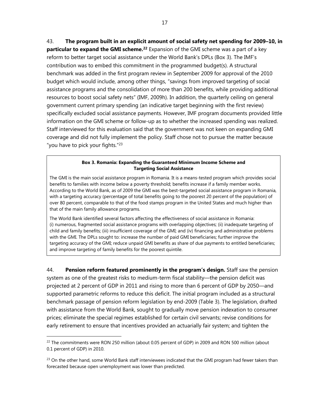43. **The program built in an explicit amount of social safety net spending for 2009–10, in particular to expand the GMI scheme.**<sup>22</sup> Expansion of the GMI scheme was a part of a key reform to better target social assistance under the World Bank's DPLs (Box 3). The IMF's contribution was to embed this commitment in the programmed budget(s). A structural benchmark was added in the first program review in September 2009 for approval of the 2010 budget which would include, among other things, "savings from improved targeting of social assistance programs and the consolidation of more than 200 benefits, while providing additional resources to boost social safety nets" (IMF, 2009h). In addition, the quarterly ceiling on general government current primary spending (an indicative target beginning with the first review) specifically excluded social assistance payments. However, IMF program documents provided little information on the GMI scheme or follow-up as to whether the increased spending was realized. Staff interviewed for this evaluation said that the government was not keen on expanding GMI coverage and did not fully implement the policy. Staff chose not to pursue the matter because "you have to pick your fights." $23$ 

#### **Box 3. Romania: Expanding the Guaranteed Minimum Income Scheme and Targeting Social Assistance**

The GMI is the main social assistance program in Romania. It is a means-tested program which provides social benefits to families with income below a poverty threshold; benefits increase if a family member works. According to the World Bank, as of 2009 the GMI was the best-targeted social assistance program in Romania, with a targeting accuracy (percentage of total benefits going to the poorest 20 percent of the population) of over 80 percent, comparable to that of the food stamps program in the United States and much higher than that of the main family allowance programs.

The World Bank identified several factors affecting the effectiveness of social assistance in Romania: (i) numerous, fragmented social assistance programs with overlapping objectives; (ii) inadequate targeting of child and family benefits; (iii) insufficient coverage of the GMI; and (iv) financing and administrative problems with the GMI. The DPLs sought to: increase the number of paid GMI beneficiaries; further improve the targeting accuracy of the GMI; reduce unpaid GMI benefits as share of due payments to entitled beneficiaries; and improve targeting of family benefits for the poorest quintile.

44. **Pension reform featured prominently in the program's design.** Staff saw the pension system as one of the greatest risks to medium-term fiscal stability—the pension deficit was projected at 2 percent of GDP in 2011 and rising to more than 6 percent of GDP by 2050—and supported parametric reforms to reduce this deficit. The initial program included as a structural benchmark passage of pension reform legislation by end-2009 (Table 3). The legislation, drafted with assistance from the World Bank, sought to gradually move pension indexation to consumer prices; eliminate the special regimes established for certain civil servants; revise conditions for early retirement to ensure that incentives provided an actuarially fair system; and tighten the

<sup>&</sup>lt;sup>22</sup> The commitments were RON 250 million (about 0.05 percent of GDP) in 2009 and RON 500 million (about 0.1 percent of GDP) in 2010.

 $23$  On the other hand, some World Bank staff interviewees indicated that the GMI program had fewer takers than forecasted because open unemployment was lower than predicted.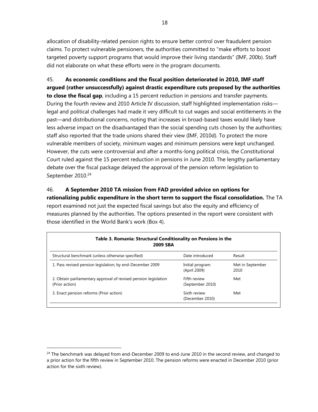allocation of disability-related pension rights to ensure better control over fraudulent pension claims. To protect vulnerable pensioners, the authorities committed to "make efforts to boost targeted poverty support programs that would improve their living standards" (IMF, 200b). Staff did not elaborate on what these efforts were in the program documents.

45. **As economic conditions and the fiscal position deteriorated in 2010, IMF staff argued (rather unsuccessfully) against drastic expenditure cuts proposed by the authorities to close the fiscal gap**, including a 15 percent reduction in pensions and transfer payments. During the fourth review and 2010 Article IV discussion, staff highlighted implementation risks legal and political challenges had made it very difficult to cut wages and social entitlements in the past—and distributional concerns, noting that increases in broad-based taxes would likely have less adverse impact on the disadvantaged than the social spending cuts chosen by the authorities; staff also reported that the trade unions shared their view (IMF, 2010d). To protect the more vulnerable members of society, minimum wages and minimum pensions were kept unchanged. However, the cuts were controversial and after a months-long political crisis, the Constitutional Court ruled against the 15 percent reduction in pensions in June 2010. The lengthy parliamentary debate over the fiscal package delayed the approval of the pension reform legislation to September 2010.<sup>24</sup>

# 46. **A September 2010 TA mission from FAD provided advice on options for rationalizing public expenditure in the short term to support the fiscal consolidation.** The TA report examined not just the expected fiscal savings but also the equity and efficiency of measures planned by the authorities. The options presented in the report were consistent with those identified in the World Bank's work (Box 4).

| Table 3. Romania: Structural Conditionality on Pensions in the<br><b>2009 SBA</b> |                                  |                          |
|-----------------------------------------------------------------------------------|----------------------------------|--------------------------|
| Structural benchmark (unless otherwise specified)                                 | Date introduced                  | Result                   |
| 1. Pass revised pension legislation; by end-December 2009                         | Initial program<br>(April 2009)  | Met in September<br>2010 |
| 2. Obtain parliamentary approval of revised pension legislation<br>(Prior action) | Fifth review<br>(September 2010) | Met                      |
| 3. Enact pension reforms (Prior action)                                           | Sixth review<br>(December 2010)  | Met                      |

<sup>&</sup>lt;sup>24</sup> The benchmark was delayed from end-December 2009 to end-June 2010 in the second review, and changed to a prior action for the fifth review in September 2010. The pension reforms were enacted in December 2010 (prior action for the sixth review).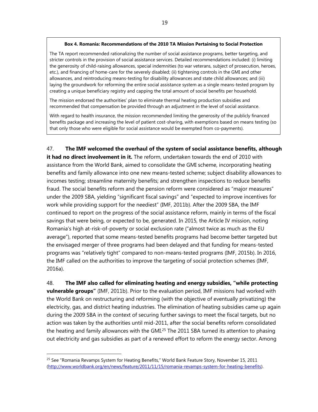#### **Box 4. Romania: Recommendations of the 2010 TA Mission Pertaining to Social Protection**

The TA report recommended rationalizing the number of social assistance programs, better targeting, and stricter controls in the provision of social assistance services. Detailed recommendations included: (i) limiting the generosity of child-raising allowances, special indemnities (to war veterans, subject of prosecution, heroes, etc.), and financing of home-care for the severely disabled; (ii) tightening controls in the GMI and other allowances, and reintroducing means-testing for disability allowances and state child allowances; and (iii) laying the groundwork for reforming the entire social assistance system as a single means-tested program by creating a unique beneficiary registry and capping the total amount of social benefits per household.

The mission endorsed the authorities' plan to eliminate thermal heating production subsidies and recommended that compensation be provided through an adjustment in the level of social assistance.

With regard to health insurance, the mission recommended limiting the generosity of the publicly financed benefits package and increasing the level of patient cost-sharing, with exemptions based on means testing (so that only those who were eligible for social assistance would be exempted from co-payments).

47. **The IMF welcomed the overhaul of the system of social assistance benefits, although it had no direct involvement in it.** The reform, undertaken towards the end of 2010 with assistance from the World Bank, aimed to consolidate the GMI scheme, incorporating heating benefits and family allowance into one new means-tested scheme; subject disability allowances to incomes testing; streamline maternity benefits; and strengthen inspections to reduce benefits fraud. The social benefits reform and the pension reform were considered as "major measures" under the 2009 SBA, yielding "significant fiscal savings" and "expected to improve incentives for work while providing support for the neediest" (IMF, 2011b). After the 2009 SBA, the IMF continued to report on the progress of the social assistance reform, mainly in terms of the fiscal savings that were being, or expected to be, generated. In 2015, the Article IV mission, noting Romania's high at-risk-of-poverty or social exclusion rate ("almost twice as much as the EU average"), reported that some means-tested benefits programs had become better targeted but the envisaged merger of three programs had been delayed and that funding for means-tested programs was "relatively tight" compared to non-means-tested programs (IMF, 2015b). In 2016, the IMF called on the authorities to improve the targeting of social protection schemes (IMF, 2016a).

48. **The IMF also called for eliminating heating and energy subsidies, "while protecting vulnerable groups"** (IMF, 2011b). Prior to the evaluation period, IMF missions had worked with the World Bank on restructuring and reforming (with the objective of eventually privatizing) the electricity, gas, and district heating industries. The elimination of heating subsidies came up again during the 2009 SBA in the context of securing further savings to meet the fiscal targets, but no action was taken by the authorities until mid-2011, after the social benefits reform consolidated the heating and family allowances with the GMI.<sup>25</sup> The 2011 SBA turned its attention to phasing out electricity and gas subsidies as part of a renewed effort to reform the energy sector. Among

<sup>&</sup>lt;sup>25</sup> See "Romania Revamps System for Heating Benefits," World Bank Feature Story, November 15, 2011 (http://www.worldbank.org/en/news/feature/2011/11/15/romania-revamps-system-for-heating-benefits).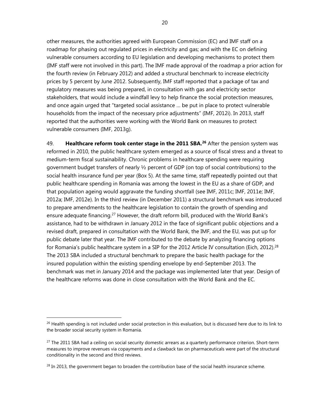other measures, the authorities agreed with European Commission (EC) and IMF staff on a roadmap for phasing out regulated prices in electricity and gas; and with the EC on defining vulnerable consumers according to EU legislation and developing mechanisms to protect them (IMF staff were not involved in this part). The IMF made approval of the roadmap a prior action for the fourth review (in February 2012) and added a structural benchmark to increase electricity prices by 5 percent by June 2012. Subsequently, IMF staff reported that a package of tax and regulatory measures was being prepared, in consultation with gas and electricity sector stakeholders, that would include a windfall levy to help finance the social protection measures, and once again urged that "targeted social assistance … be put in place to protect vulnerable households from the impact of the necessary price adjustments" (IMF, 2012i). In 2013, staff reported that the authorities were working with the World Bank on measures to protect vulnerable consumers (IMF, 2013g).

49. **Healthcare reform took center stage in the 2011 SBA.26** After the pension system was reformed in 2010, the public healthcare system emerged as a source of fiscal stress and a threat to medium-term fiscal sustainability. Chronic problems in healthcare spending were requiring government budget transfers of nearly ½ percent of GDP (on top of social contributions) to the social health insurance fund per year (Box 5). At the same time, staff repeatedly pointed out that public healthcare spending in Romania was among the lowest in the EU as a share of GDP, and that population ageing would aggravate the funding shortfall (see IMF, 2011c; IMF, 2011e; IMF, 2012a; IMF, 2012e). In the third review (in December 2011) a structural benchmark was introduced to prepare amendments to the healthcare legislation to contain the growth of spending and ensure adequate financing.<sup>27</sup> However, the draft reform bill, produced with the World Bank's assistance, had to be withdrawn in January 2012 in the face of significant public objections and a revised draft, prepared in consultation with the World Bank, the IMF, and the EU, was put up for public debate later that year. The IMF contributed to the debate by analyzing financing options for Romania's public healthcare system in a SIP for the 2012 Article IV consultation (Eich, 2012).<sup>28</sup> The 2013 SBA included a structural benchmark to prepare the basic health package for the insured population within the existing spending envelope by end-September 2013. The benchmark was met in January 2014 and the package was implemented later that year. Design of the healthcare reforms was done in close consultation with the World Bank and the EC.

 $26$  Health spending is not included under social protection in this evaluation, but is discussed here due to its link to the broader social security system in Romania.

 $27$  The 2011 SBA had a ceiling on social security domestic arrears as a quarterly performance criterion. Short-term measures to improve revenues via copayments and a clawback tax on pharmaceuticals were part of the structural conditionality in the second and third reviews.

 $^{28}$  In 2013, the government began to broaden the contribution base of the social health insurance scheme.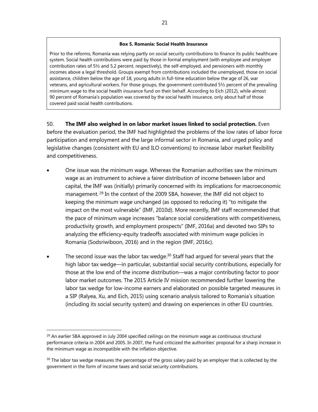#### **Box 5. Romania: Social Health Insurance**

Prior to the reforms, Romania was relying partly on social security contributions to finance its public healthcare system. Social health contributions were paid by those in formal employment (with employee and employer contribution rates of 5½ and 5.2 percent, respectively), the self-employed, and pensioners with monthly incomes above a legal threshold. Groups exempt from contributions included the unemployed, those on social assistance, children below the age of 18, young adults in full-time education below the age of 26, war veterans, and agricultural workers. For those groups, the government contributed 5½ percent of the prevailing minimum wage to the social health insurance fund on their behalf. According to Eich (2012), while almost 90 percent of Romania's population was covered by the social health insurance, only about half of those covered paid social health contributions.

50. **The IMF also weighed in on labor market issues linked to social protection.** Even before the evaluation period, the IMF had highlighted the problems of the low rates of labor force participation and employment and the large informal sector in Romania, and urged policy and legislative changes (consistent with EU and ILO conventions) to increase labor market flexibility and competitiveness.

- One issue was the minimum wage. Whereas the Romanian authorities saw the minimum wage as an instrument to achieve a fairer distribution of income between labor and capital, the IMF was (initially) primarily concerned with its implications for macroeconomic management. <sup>29</sup> In the context of the 2009 SBA, however, the IMF did not object to keeping the minimum wage unchanged (as opposed to reducing it) "to mitigate the impact on the most vulnerable" (IMF, 2010d). More recently, IMF staff recommended that the pace of minimum wage increases "balance social considerations with competitiveness, productivity growth, and employment prospects" (IMF, 2016a) and devoted two SIPs to analyzing the efficiency-equity tradeoffs associated with minimum wage policies in Romania (Sodsriwiboon, 2016) and in the region (IMF, 2016c).
- The second issue was the labor tax wedge. $30$  Staff had argued for several years that the high labor tax wedge—in particular, substantial social security contributions, especially for those at the low end of the income distribution—was a major contributing factor to poor labor market outcomes. The 2015 Article IV mission recommended further lowering the labor tax wedge for low-income earners and elaborated on possible targeted measures in a SIP (Ralyea, Xu, and Eich, 2015) using scenario analysis tailored to Romania's situation (including its social security system) and drawing on experiences in other EU countries.

 $29$  An earlier SBA approved in July 2004 specified ceilings on the minimum wage as continuous structural performance criteria in 2004 and 2005. In 2007, the Fund criticized the authorities' proposal for a sharp increase in the minimum wage as incompatible with the inflation objective.

 $30$  The labor tax wedge measures the percentage of the gross salary paid by an employer that is collected by the government in the form of income taxes and social security contributions.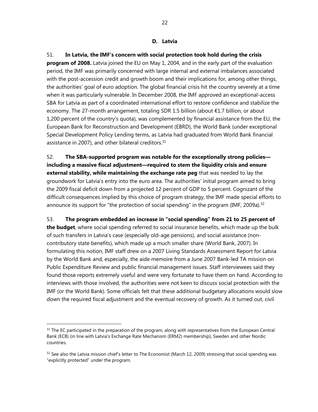51. **In Latvia, the IMF's concern with social protection took hold during the crisis program of 2008.** Latvia joined the EU on May 1, 2004, and in the early part of the evaluation period, the IMF was primarily concerned with large internal and external imbalances associated with the post-accession credit and growth boom and their implications for, among other things, the authorities' goal of euro adoption. The global financial crisis hit the country severely at a time when it was particularly vulnerable. In December 2008, the IMF approved an exceptional-access SBA for Latvia as part of a coordinated international effort to restore confidence and stabilize the economy. The 27-month arrangement, totaling SDR 1.5 billion (about €1.7 billion, or about 1,200 percent of the country's quota), was complemented by financial assistance from the EU, the European Bank for Reconstruction and Development (EBRD), the World Bank (under exceptional Special Development Policy Lending terms, as Latvia had graduated from World Bank financial assistance in 2007), and other bilateral creditors.<sup>31</sup>

52. **The SBA-supported program was notable for the exceptionally strong policies including a massive fiscal adjustment—required to stem the liquidity crisis and ensure external stability, while maintaining the exchange rate peg** that was needed to lay the groundwork for Latvia's entry into the euro area. The authorities' initial program aimed to bring the 2009 fiscal deficit down from a projected 12 percent of GDP to 5 percent. Cognizant of the difficult consequences implied by this choice of program strategy, the IMF made special efforts to announce its support for "the protection of social spending" in the program (IMF, 2009a).<sup>32</sup>

53. **The program embedded an increase in "social spending" from 21 to 25 percent of the budget**, where social spending referred to social insurance benefits, which made up the bulk of such transfers in Latvia's case (especially old-age pensions), and social assistance (noncontributory state benefits), which made up a much smaller share (World Bank, 2007). In formulating this notion, IMF staff drew on a 2007 Living Standards Assessment Report for Latvia by the World Bank and, especially, the aide memoire from a June 2007 Bank-led TA mission on Public Expenditure Review and public financial management issues. Staff interviewees said they found those reports extremely useful and were very fortunate to have them on hand. According to interviews with those involved, the authorities were not keen to discuss social protection with the IMF (or the World Bank). Some officials felt that these additional budgetary allocations would slow down the required fiscal adjustment and the eventual recovery of growth. As it turned out, civil

<sup>&</sup>lt;sup>31</sup> The EC participated in the preparation of the program, along with representatives from the European Central Bank (ECB) (in line with Latvia's Exchange Rate Mechanism (ERM2) membership), Sweden and other Nordic countries.

<sup>&</sup>lt;sup>32</sup> See also the Latvia mission chief's letter to The Economist (March 12, 2009) stressing that social spending was "explicitly protected" under the program.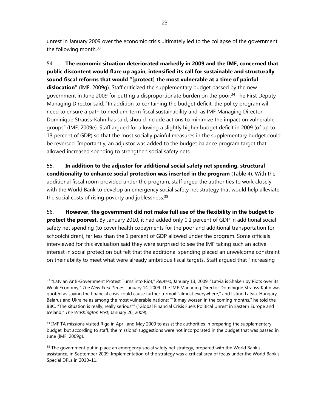unrest in January 2009 over the economic crisis ultimately led to the collapse of the government the following month.<sup>33</sup>

54. **The economic situation deteriorated markedly in 2009 and the IMF, concerned that public discontent would flare up again, intensified its call for sustainable and structurally sound fiscal reforms that would "[protect] the most vulnerable at a time of painful dislocation"** (IMF, 2009g). Staff criticized the supplementary budget passed by the new government in June 2009 for putting a disproportionate burden on the poor.<sup>34</sup> The First Deputy Managing Director said: "In addition to containing the budget deficit, the policy program will need to ensure a path to medium-term fiscal sustainability and, as IMF Managing Director Dominique Strauss-Kahn has said, should include actions to minimize the impact on vulnerable groups" (IMF, 2009e). Staff argued for allowing a slightly higher budget deficit in 2009 (of up to 13 percent of GDP) so that the most socially painful measures in the supplementary budget could be reversed. Importantly, an adjustor was added to the budget balance program target that allowed increased spending to strengthen social safety nets.

55. **In addition to the adjustor for additional social safety net spending, structural conditionality to enhance social protection was inserted in the program** (Table 4). With the additional fiscal room provided under the program, staff urged the authorities to work closely with the World Bank to develop an emergency social safety net strategy that would help alleviate the social costs of rising poverty and joblessness.<sup>35</sup>

56. **However, the government did not make full use of the flexibility in the budget to protect the poorest.** By January 2010, it had added only 0.1 percent of GDP in additional social safety net spending (to cover health copayments for the poor and additional transportation for schoolchildren), far less than the 1 percent of GDP allowed under the program. Some officials interviewed for this evaluation said they were surprised to see the IMF taking such an active interest in social protection but felt that the additional spending placed an unwelcome constraint on their ability to meet what were already ambitious fiscal targets. Staff argued that "increasing

<sup>33 &</sup>quot;Latvian Anti-Government Protest Turns into Riot," *Reuters*, January 13, 2009; "Latvia is Shaken by Riots over its Weak Economy," *The New York Times*, January 14, 2009. The IMF Managing Director Dominique Strauss-Kahn was quoted as saying the financial crisis could cause further turmoil "almost everywhere," and listing Latvia, Hungary, Belarus and Ukraine as among the most vulnerable nations: ""It may worsen in the coming months," he told the BBC. "The situation is really, really serious"" ("Global Financial Crisis Fuels Political Unrest in Eastern Europe and Iceland," *The Washington Post*, January 26, 2009).

<sup>&</sup>lt;sup>34</sup> IMF TA missions visited Riga in April and May 2009 to assist the authorities in preparing the supplementary budget, but according to staff, the missions' suggestions were not incorporated in the budget that was passed in June (IMF, 2009g).

<sup>&</sup>lt;sup>35</sup> The government put in place an emergency social safety net strategy, prepared with the World Bank's assistance, in September 2009. Implementation of the strategy was a critical area of focus under the World Bank's Special DPLs in 2010–11.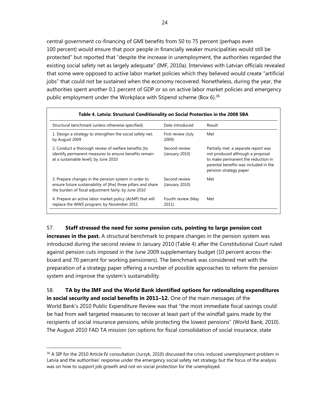central government co-financing of GMI benefits from 50 to 75 percent (perhaps even 100 percent) would ensure that poor people in financially weaker municipalities would still be protected" but reported that "despite the increase in unemployment, the authorities regarded the existing social safety net as largely adequate" (IMF, 2010a). Interviews with Latvian officials revealed that some were opposed to active labor market policies which they believed would create "artificial jobs" that could not be sustained when the economy recovered. Nonetheless, during the year, the authorities spent another 0.1 percent of GDP or so on active labor market policies and emergency public employment under the Workplace with Stipend scheme (Box 6).<sup>36</sup>

| Structural benchmark (unless otherwise specified)                                                                                                                             | Date introduced                 | Result                                                                                                                                                                            |
|-------------------------------------------------------------------------------------------------------------------------------------------------------------------------------|---------------------------------|-----------------------------------------------------------------------------------------------------------------------------------------------------------------------------------|
| 1. Design a strategy to strengthen the social safety net;<br>by August 2009                                                                                                   | First review (July<br>2009)     | Met                                                                                                                                                                               |
| 2. Conduct a thorough review of welfare benefits [to<br>identify permanent measures to ensure benefits remain<br>at a sustainable level]; by June 2010                        | Second review<br>(January 2010) | Partially met: a separate report was<br>not produced although a proposal<br>to make permanent the reduction in<br>parental benefits was included in the<br>pension strategy paper |
| 3. Prepare changes in the pension system in order to<br>ensure future sustainability of [the] three pillars and share<br>the burden of fiscal adjustment fairly; by June 2010 | Second review<br>(January 2010) | Met                                                                                                                                                                               |
| 4. Prepare an active labor market policy (ALMP) that will<br>replace the WWS program; by November 2011                                                                        | Fourth review (May<br>2011)     | Met                                                                                                                                                                               |

### 57. **Staff stressed the need for some pension cuts, pointing to large pension cost**

**increases in the past.** A structural benchmark to prepare changes in the pension system was introduced during the second review in January 2010 (Table 4) after the Constitutional Court ruled against pension cuts imposed in the June 2009 supplementary budget (10 percent across-theboard and 70 percent for working pensioners). The benchmark was considered met with the preparation of a strategy paper offering a number of possible approaches to reform the pension system and improve the system's sustainability.

58. **TA by the IMF and the World Bank identified options for rationalizing expenditures in social security and social benefits in 2011–12.** One of the main messages of the World Bank's 2010 Public Expenditure Review was that "the most immediate fiscal savings could be had from well targeted measures to recover at least part of the windfall gains made by the recipients of social insurance pensions, while protecting the lowest pensions" (World Bank, 2010). The August 2010 FAD TA mission (on options for fiscal consolidation of social insurance, state

<sup>&</sup>lt;sup>36</sup> A SIP for the 2010 Article IV consultation (Jurzyk, 2010) discussed the crisis-induced unemployment problem in Latvia and the authorities' response under the emergency social safety net strategy but the focus of the analysis was on how to support job growth and not on social protection for the unemployed.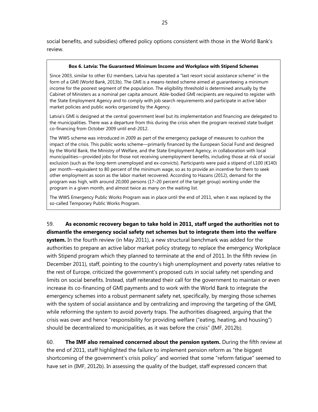social benefits, and subsidies) offered policy options consistent with those in the World Bank's review.

#### **Box 6. Latvia: The Guaranteed Minimum Income and Workplace with Stipend Schemes**

Since 2003, similar to other EU members, Latvia has operated a "last resort social assistance scheme" in the form of a GMI (World Bank, 2013b). The GMI is a means-tested scheme aimed at guaranteeing a minimum income for the poorest segment of the population. The eligibility threshold is determined annually by the Cabinet of Ministers as a nominal per capita amount. Able-bodied GMI recipients are required to register with the State Employment Agency and to comply with job search requirements and participate in active labor market policies and public works organized by the Agency.

Latvia's GMI is designed at the central government level but its implementation and financing are delegated to the municipalities. There was a departure from this during the crisis when the program received state budget co-financing from October 2009 until end-2012.

The WWS scheme was introduced in 2009 as part of the emergency package of measures to cushion the impact of the crisis. This public works scheme—primarily financed by the European Social Fund and designed by the World Bank, the Ministry of Welfare, and the State Employment Agency, in collaboration with local municipalities—provided jobs for those not receiving unemployment benefits, including those at risk of social exclusion (such as the long-term unemployed and ex-convicts). Participants were paid a stipend of L100 (€140) per month—equivalent to 80 percent of the minimum wage, so as to provide an incentive for them to seek other employment as soon as the labor market recovered. According to Hazans (2012), demand for the program was high, with around 20,000 persons (17–20 percent of the target group) working under the program in a given month, and almost twice as many on the waiting list.

The WWS Emergency Public Works Program was in place until the end of 2011, when it was replaced by the so-called Temporary Public Works Program.

# 59. **As economic recovery began to take hold in 2011, staff urged the authorities not to dismantle the emergency social safety net schemes but to integrate them into the welfare**

**system.** In the fourth review (in May 2011), a new structural benchmark was added for the authorities to prepare an active labor market policy strategy to replace the emergency Workplace with Stipend program which they planned to terminate at the end of 2011. In the fifth review (in December 2011), staff, pointing to the country's high unemployment and poverty rates relative to the rest of Europe, criticized the government's proposed cuts in social safety net spending and limits on social benefits. Instead, staff reiterated their call for the government to maintain or even increase its co-financing of GMI payments and to work with the World Bank to integrate the emergency schemes into a robust permanent safety net, specifically, by merging those schemes with the system of social assistance and by centralizing and improving the targeting of the GMI, while reforming the system to avoid poverty traps. The authorities disagreed, arguing that the crisis was over and hence "responsibility for providing welfare ("eating, heating, and housing") should be decentralized to municipalities, as it was before the crisis" (IMF, 2012b).

60. **The IMF also remained concerned about the pension system.** During the fifth review at the end of 2011, staff highlighted the failure to implement pension reform as "the biggest shortcoming of the government's crisis policy" and worried that some "reform fatigue" seemed to have set in (IMF, 2012b). In assessing the quality of the budget, staff expressed concern that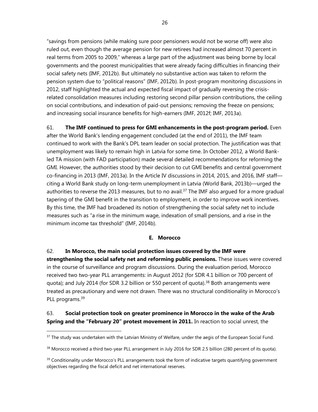"savings from pensions (while making sure poor pensioners would not be worse off) were also ruled out, even though the average pension for new retirees had increased almost 70 percent in real terms from 2005 to 2009," whereas a large part of the adjustment was being borne by local governments and the poorest municipalities that were already facing difficulties in financing their social safety nets (IMF, 2012b). But ultimately no substantive action was taken to reform the pension system due to "political reasons" (IMF, 2012b). In post-program monitoring discussions in 2012, staff highlighted the actual and expected fiscal impact of gradually reversing the crisisrelated consolidation measures including restoring second pillar pension contributions, the ceiling on social contributions, and indexation of paid-out pensions; removing the freeze on pensions; and increasing social insurance benefits for high-earners (IMF, 2012f; IMF, 2013a).

61. **The IMF continued to press for GMI enhancements in the post-program period.** Even after the World Bank's lending engagement concluded (at the end of 2011), the IMF team continued to work with the Bank's DPL team leader on social protection. The justification was that unemployment was likely to remain high in Latvia for some time. In October 2012, a World Bankled TA mission (with FAD participation) made several detailed recommendations for reforming the GMI. However, the authorities stood by their decision to cut GMI benefits and central government co-financing in 2013 (IMF, 2013a). In the Article IV discussions in 2014, 2015, and 2016, IMF staff citing a World Bank study on long-term unemployment in Latvia (World Bank, 2013b)—urged the authorities to reverse the 2013 measures, but to no avail.<sup>37</sup> The IMF also argued for a more gradual tapering of the GMI benefit in the transition to employment, in order to improve work incentives. By this time, the IMF had broadened its notion of strengthening the social safety net to include measures such as "a rise in the minimum wage, indexation of small pensions, and a rise in the minimum income tax threshold" (IMF, 2014b).

## **E. Morocco**

62. **In Morocco, the main social protection issues covered by the IMF were strengthening the social safety net and reforming public pensions.** These issues were covered in the course of surveillance and program discussions. During the evaluation period, Morocco received two two-year PLL arrangements: in August 2012 (for SDR 4.1 billion or 700 percent of quota); and July 2014 (for SDR 3.2 billion or 550 percent of quota).<sup>38</sup> Both arrangements were treated as precautionary and were not drawn. There was no structural conditionality in Morocco's PLL programs.<sup>39</sup>

# 63. **Social protection took on greater prominence in Morocco in the wake of the Arab Spring and the "February 20" protest movement in 2011.** In reaction to social unrest, the

 $37$  The study was undertaken with the Latvian Ministry of Welfare, under the aegis of the European Social Fund.

<sup>38</sup> Morocco received a third two-year PLL arrangement in July 2016 for SDR 2.5 billion (280 percent of its quota).

<sup>&</sup>lt;sup>39</sup> Conditionality under Morocco's PLL arrangements took the form of indicative targets quantifying government objectives regarding the fiscal deficit and net international reserves.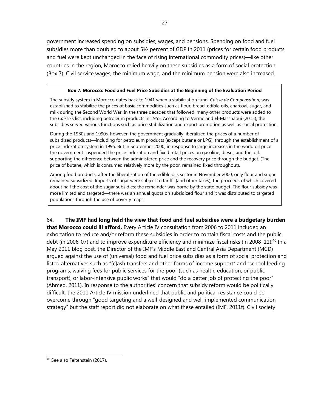government increased spending on subsidies, wages, and pensions. Spending on food and fuel subsidies more than doubled to about 5½ percent of GDP in 2011 (prices for certain food products and fuel were kept unchanged in the face of rising international commodity prices)—like other countries in the region, Morocco relied heavily on these subsidies as a form of social protection (Box 7). Civil service wages, the minimum wage, and the minimum pension were also increased.

### **Box 7. Morocco: Food and Fuel Price Subsidies at the Beginning of the Evaluation Period**

The subsidy system in Morocco dates back to 1941 when a stabilization fund, *Caisse de Compensation,* was established to stabilize the prices of basic commodities such as flour, bread, edible oils, charcoal, sugar, and milk during the Second World War. In the three decades that followed, many other products were added to the *Caisse*'s list, including petroleum products in 1955. According to Verme and El-Massnaoui (2015), the subsidies served various functions such as price stabilization and export promotion as well as social protection.

During the 1980s and 1990s, however, the government gradually liberalized the prices of a number of subsidized products—including for petroleum products (except butane or LPG), through the establishment of a price indexation system in 1995. But in September 2000, in response to large increases in the world oil price the government suspended the price indexation and fixed retail prices on gasoline, diesel, and fuel oil, supporting the difference between the administered price and the recovery price through the budget. (The price of butane, which is consumed relatively more by the poor, remained fixed throughout).

Among food products, after the liberalization of the edible oils sector in November 2000, only flour and sugar remained subsidized. Imports of sugar were subject to tariffs (and other taxes), the proceeds of which covered about half the cost of the sugar subsidies; the remainder was borne by the state budget. The flour subsidy was more limited and targeted—there was an annual quota on subsidized flour and it was distributed to targeted populations through the use of poverty maps.

64. **The IMF had long held the view that food and fuel subsidies were a budgetary burden that Morocco could ill afford.** Every Article IV consultation from 2006 to 2011 included an exhortation to reduce and/or reform these subsidies in order to contain fiscal costs and the public debt (in 2006-07) and to improve expenditure efficiency and minimize fiscal risks (in 2008–11).<sup>40</sup> In a May 2011 blog post, the Director of the IMF's Middle East and Central Asia Department (MCD) argued against the use of (universal) food and fuel price subsidies as a form of social protection and listed alternatives such as "[c]ash transfers and other forms of income support" and "school feeding programs, waiving fees for public services for the poor (such as health, education, or public transport), or labor-intensive public works" that would "do a better job of protecting the poor" (Ahmed, 2011). In response to the authorities' concern that subsidy reform would be politically difficult, the 2011 Article IV mission underlined that public and political resistance could be overcome through "good targeting and a well-designed and well-implemented communication strategy" but the staff report did not elaborate on what these entailed (IMF, 2011f). Civil society

<sup>&</sup>lt;sup>40</sup> See also Feltenstein (2017).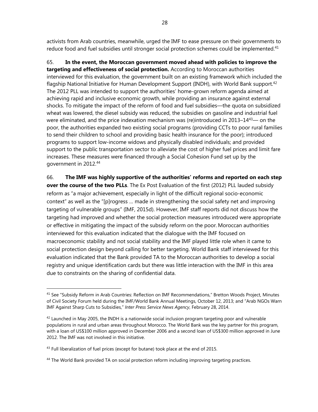activists from Arab countries, meanwhile, urged the IMF to ease pressure on their governments to reduce food and fuel subsidies until stronger social protection schemes could be implemented.<sup>41</sup>

65. **In the event, the Moroccan government moved ahead with policies to improve the targeting and effectiveness of social protection.** According to Moroccan authorities interviewed for this evaluation, the government built on an existing framework which included the flagship National Initiative for Human Development Support (INDH), with World Bank support.<sup>42</sup> The 2012 PLL was intended to support the authorities' home-grown reform agenda aimed at achieving rapid and inclusive economic growth, while providing an insurance against external shocks. To mitigate the impact of the reform of food and fuel subsidies—the quota on subsidized wheat was lowered, the diesel subsidy was reduced, the subsidies on gasoline and industrial fuel were eliminated, and the price indexation mechanism was (re)introduced in 2013-14<sup>43</sup>— on the poor, the authorities expanded two existing social programs (providing CCTs to poor rural families to send their children to school and providing basic health insurance for the poor); introduced programs to support low-income widows and physically disabled individuals; and provided support to the public transportation sector to alleviate the cost of higher fuel prices and limit fare increases. These measures were financed through a Social Cohesion Fund set up by the government in 2012.44

66. **The IMF was highly supportive of the authorities' reforms and reported on each step over the course of the two PLLs**. The Ex Post Evaluation of the first (2012) PLL lauded subsidy reform as "a major achievement, especially in light of the difficult regional socio-economic context" as well as the "[p]rogress … made in strengthening the social safety net and improving targeting of vulnerable groups" (IMF, 2015d). However, IMF staff reports did not discuss how the targeting had improved and whether the social protection measures introduced were appropriate or effective in mitigating the impact of the subsidy reform on the poor. Moroccan authorities interviewed for this evaluation indicated that the dialogue with the IMF focused on macroeconomic stability and not social stability and the IMF played little role when it came to social protection design beyond calling for better targeting. World Bank staff interviewed for this evaluation indicated that the Bank provided TA to the Moroccan authorities to develop a social registry and unique identification cards but there was little interaction with the IMF in this area due to constraints on the sharing of confidential data.

<sup>&</sup>lt;sup>41</sup> See "Subsidy Reform in Arab Countries: Reflection on IMF Recommendations," Bretton Woods Project, Minutes of Civil Society Forum held during the IMF/World Bank Annual Meetings, October 12, 2013; and "Arab NGOs Warn IMF Against Sharp Cuts to Subsidies," *Inter Press Service News Agency*, February 28, 2014.

 $42$  Launched in May 2005, the INDH is a nationwide social inclusion program targeting poor and vulnerable populations in rural and urban areas throughout Morocco. The World Bank was the key partner for this program, with a loan of US\$100 million approved in December 2006 and a second loan of US\$300 million approved in June 2012. The IMF was not involved in this initiative.

 $43$  Full liberalization of fuel prices (except for butane) took place at the end of 2015.

<sup>&</sup>lt;sup>44</sup> The World Bank provided TA on social protection reform including improving targeting practices.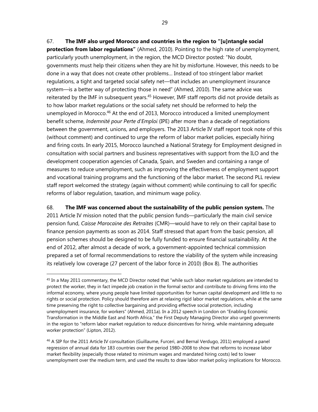67. **The IMF also urged Morocco and countries in the region to "[u]ntangle social protection from labor regulations"** (Ahmed, 2010). Pointing to the high rate of unemployment, particularly youth unemployment, in the region, the MCD Director posted: "No doubt, governments must help their citizens when they are hit by misfortune. However, this needs to be done in a way that does not create other problems… Instead of too stringent labor market regulations, a tight and targeted social safety net—that includes an unemployment insurance system—is a better way of protecting those in need" (Ahmed, 2010). The same advice was reiterated by the IMF in subsequent years.<sup>45</sup> However, IMF staff reports did not provide details as to how labor market regulations or the social safety net should be reformed to help the unemployed in Morocco.<sup>46</sup> At the end of 2013, Morocco introduced a limited unemployment benefit scheme, *Indemnité pour Perte d'Emploi* (IPE) after more than a decade of negotiations between the government, unions, and employers. The 2013 Article IV staff report took note of this (without comment) and continued to urge the reform of labor market policies, especially hiring and firing costs. In early 2015, Morocco launched a National Strategy for Employment designed in consultation with social partners and business representatives with support from the ILO and the development cooperation agencies of Canada, Spain, and Sweden and containing a range of measures to reduce unemployment, such as improving the effectiveness of employment support and vocational training programs and the functioning of the labor market. The second PLL review staff report welcomed the strategy (again without comment) while continuing to call for specific reforms of labor regulation, taxation, and minimum wage policy.

68. **The IMF was concerned about the sustainability of the public pension system.** The 2011 Article IV mission noted that the public pension funds—particularly the main civil service pension fund, *Caisse Marocaine des Retraites* (CMR)—would have to rely on their capital base to finance pension payments as soon as 2014. Staff stressed that apart from the basic pension, all pension schemes should be designed to be fully funded to ensure financial sustainability. At the end of 2012, after almost a decade of work, a government-appointed technical commission prepared a set of formal recommendations to restore the viability of the system while increasing its relatively low coverage (27 percent of the labor force in 2010) (Box 8). The authorities

 $45$  In a May 2011 commentary, the MCD Director noted that "while such labor market regulations are intended to protect the worker, they in fact impede job creation in the formal sector and contribute to driving firms into the informal economy, where young people have limited opportunities for human capital development and little to no rights or social protection. Policy should therefore aim at relaxing rigid labor market regulations, while at the same time preserving the right to collective bargaining and providing effective social protection, including unemployment insurance, for workers" (Ahmed, 2011a). In a 2012 speech in London on "Enabling Economic Transformation in the Middle East and North Africa," the First Deputy Managing Director also urged governments in the region to "reform labor market regulation to reduce disincentives for hiring, while maintaining adequate worker protection" (Lipton, 2012).

<sup>&</sup>lt;sup>46</sup> A SIP for the 2011 Article IV consultation (Guillaume, Furceri, and Bernal Verdugo, 2011) employed a panel regression of annual data for 183 countries over the period 1980–2008 to show that reforms to increase labor market flexibility (especially those related to minimum wages and mandated hiring costs) led to lower unemployment over the medium term, and used the results to draw labor market policy implications for Morocco.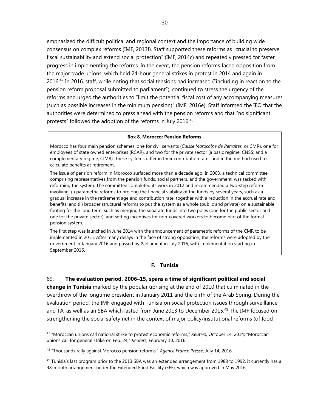emphasized the difficult political and regional context and the importance of building wide consensus on complex reforms (IMF, 2013f). Staff supported these reforms as "crucial to preserve fiscal sustainability and extend social protection" (IMF, 2014c) and repeatedly pressed for faster progress in implementing the reforms. In the event, the pension reforms faced opposition from the major trade unions, which held 24-hour general strikes in protest in 2014 and again in 2016.<sup>47</sup> In 2016, staff, while noting that social tensions had increased ("including in reaction to the pension reform proposal submitted to parliament"), continued to stress the urgency of the reforms and urged the authorities to "limit the potential fiscal cost of any accompanying measures (such as possible increases in the minimum pension)" (IMF, 2016e). Staff informed the IEO that the authorities were determined to press ahead with the pension reforms and that "no significant protests" followed the adoption of the reforms in July 2016.<sup>48</sup>

#### **Box 8. Morocco: Pension Reforms**

Morocco has four main pension schemes: one for civil servants (*Caisse Marocaine de Retraites*, or CMR), one for employees of state owned enterprises (RCAR), and two for the private sector (a basic regime, CNSS; and a complementary regime, CIMR). These systems differ in their contribution rates and in the method used to calculate benefits at retirement.

The issue of pension reform in Morocco surfaced more than a decade ago. In 2003, a technical committee comprising representatives from the pension funds, social partners, and the government, was tasked with reforming the system. The committee completed its work in 2012 and recommended a two-step reform involving: (i) parametric reforms to prolong the financial viability of the funds by several years, such as a gradual increase in the retirement age and contribution rate, together with a reduction in the accrual rate and benefits; and (ii) broader structural reforms to put the system as a whole (public and private) on a sustainable footing for the long term, such as merging the separate funds into two poles (one for the public sector and one for the private sector), and setting incentives for non-covered workers to become part of the formal pension system.

The first step was launched in June 2014 with the announcement of parametric reforms of the CMR to be implemented in 2015. After many delays in the face of strong opposition, the reforms were adopted by the government in January 2016 and passed by Parliament in July 2016, with implementation starting in September 2016.

#### **F. Tunisia**

69. **The evaluation period, 2006–15, spans a time of significant political and social change in Tunisia** marked by the popular uprising at the end of 2010 that culminated in the overthrow of the longtime president in January 2011 and the birth of the Arab Spring. During the evaluation period, the IMF engaged with Tunisia on social protection issues through surveillance and TA, as well as an SBA which lasted from June 2013 to December 2015.<sup>49</sup> The IMF focused on strengthening the social safety net in the context of major policy/institutional reforms (of food

<sup>47 &</sup>quot;Moroccan unions call national strike to protest economic reforms," *Reuters*, October 14, 2014; "Moroccan unions call for general strike on Feb. 24," *Reuters*, February 10, 2016.

<sup>48 &</sup>quot;Thousands rally against Morocco pension reforms," *Agence France Presse*, July 14, 2016.

 $49$  Tunisia's last program prior to the 2013 SBA was an extended arrangement from 1988 to 1992. It currently has a 48-month arrangement under the Extended Fund Facility (EFF), which was approved in May 2016.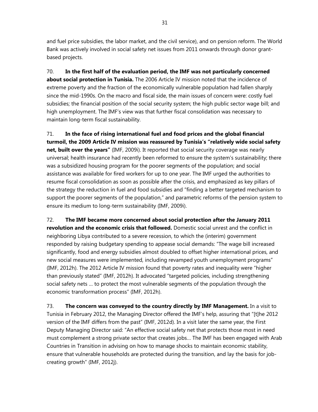and fuel price subsidies, the labor market, and the civil service), and on pension reform. The World Bank was actively involved in social safety net issues from 2011 onwards through donor grantbased projects.

70. **In the first half of the evaluation period, the IMF was not particularly concerned about social protection in Tunisia.** The 2006 Article IV mission noted that the incidence of extreme poverty and the fraction of the economically vulnerable population had fallen sharply since the mid-1990s. On the macro and fiscal side, the main issues of concern were: costly fuel subsidies; the financial position of the social security system; the high public sector wage bill; and high unemployment. The IMF's view was that further fiscal consolidation was necessary to maintain long-term fiscal sustainability.

71. **In the face of rising international fuel and food prices and the global financial turmoil, the 2009 Article IV mission was reassured by Tunisia's "relatively wide social safety net, built over the years"** (IMF, 2009i). It reported that social security coverage was nearly universal; health insurance had recently been reformed to ensure the system's sustainability; there was a subsidized housing program for the poorer segments of the population; and social assistance was available for fired workers for up to one year. The IMF urged the authorities to resume fiscal consolidation as soon as possible after the crisis, and emphasized as key pillars of the strategy the reduction in fuel and food subsidies and "finding a better targeted mechanism to support the poorer segments of the population," and parametric reforms of the pension system to ensure its medium to long-term sustainability (IMF, 2009i).

72. **The IMF became more concerned about social protection after the January 2011 revolution and the economic crisis that followed.** Domestic social unrest and the conflict in neighboring Libya contributed to a severe recession, to which the (interim) government responded by raising budgetary spending to appease social demands: "The wage bill increased significantly, food and energy subsidies almost doubled to offset higher international prices, and new social measures were implemented, including revamped youth unemployment programs" (IMF, 2012h). The 2012 Article IV mission found that poverty rates and inequality were "higher than previously stated" (IMF, 2012h). It advocated "targeted policies, including strengthening social safety nets … to protect the most vulnerable segments of the population through the economic transformation process" (IMF, 2012h).

73. **The concern was conveyed to the country directly by IMF Management.** In a visit to Tunisia in February 2012, the Managing Director offered the IMF's help, assuring that "[t]he 2012 version of the IMF differs from the past" (IMF, 2012d). In a visit later the same year, the First Deputy Managing Director said: "An effective social safety net that protects those most in need must complement a strong private sector that creates jobs… The IMF has been engaged with Arab Countries in Transition in advising on how to manage shocks to maintain economic stability, ensure that vulnerable households are protected during the transition, and lay the basis for jobcreating growth" (IMF, 2012j).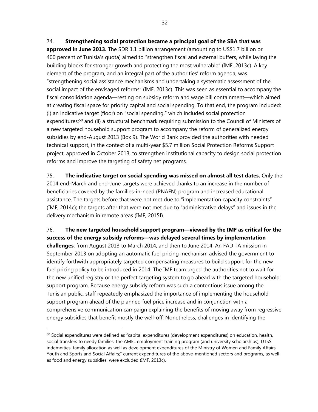74. **Strengthening social protection became a principal goal of the SBA that was** 

**approved in June 2013.** The SDR 1.1 billion arrangement (amounting to US\$1.7 billion or 400 percent of Tunisia's quota) aimed to "strengthen fiscal and external buffers, while laying the building blocks for stronger growth and protecting the most vulnerable" (IMF, 2013c). A key element of the program, and an integral part of the authorities' reform agenda, was "strengthening social assistance mechanisms and undertaking a systematic assessment of the social impact of the envisaged reforms" (IMF, 2013c). This was seen as essential to accompany the fiscal consolidation agenda—resting on subsidy reform and wage bill containment—which aimed at creating fiscal space for priority capital and social spending. To that end, the program included: (i) an indicative target (floor) on "social spending," which included social protection expenditures;<sup>50</sup> and (ii) a structural benchmark requiring submission to the Council of Ministers of a new targeted household support program to accompany the reform of generalized energy subsidies by end-August 2013 (Box 9). The World Bank provided the authorities with needed technical support, in the context of a multi-year \$5.7 million Social Protection Reforms Support project, approved in October 2013, to strengthen institutional capacity to design social protection reforms and improve the targeting of safety net programs.

75. **The indicative target on social spending was missed on almost all test dates.** Only the 2014 end-March and end-June targets were achieved thanks to an increase in the number of beneficiaries covered by the families-in-need (PNAFN) program and increased educational assistance. The targets before that were not met due to "implementation capacity constraints" (IMF, 2014c); the targets after that were not met due to "administrative delays" and issues in the delivery mechanism in remote areas (IMF, 2015f).

76. **The new targeted household support program—viewed by the IMF as critical for the success of the energy subsidy reforms—was delayed several times by implementation** 

**challenges**: from August 2013 to March 2014, and then to June 2014. An FAD TA mission in September 2013 on adopting an automatic fuel pricing mechanism advised the government to identify forthwith appropriately targeted compensating measures to build support for the new fuel pricing policy to be introduced in 2014. The IMF team urged the authorities not to wait for the new unified registry or the perfect targeting system to go ahead with the targeted household support program. Because energy subsidy reform was such a contentious issue among the Tunisian public, staff repeatedly emphasized the importance of implementing the household support program ahead of the planned fuel price increase and in conjunction with a comprehensive communication campaign explaining the benefits of moving away from regressive energy subsidies that benefit mostly the well-off. Nonetheless, challenges in identifying the

<sup>&</sup>lt;sup>50</sup> Social expenditures were defined as "capital expenditures (development expenditures) on education, health, social transfers to needy families, the AMEL employment training program (and university scholarships), UTSS indemnities, family allocation as well as development expenditures of the Ministry of Women and Family Affairs, Youth and Sports and Social Affairs;" current expenditures of the above-mentioned sectors and programs, as well as food and energy subsidies, were excluded (IMF, 2013c).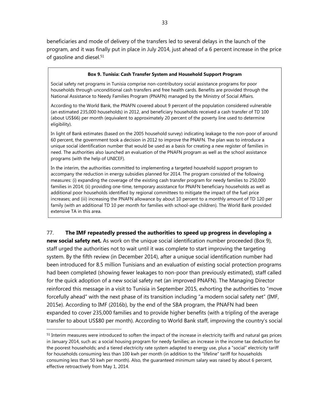beneficiaries and mode of delivery of the transfers led to several delays in the launch of the program, and it was finally put in place in July 2014, just ahead of a 6 percent increase in the price of gasoline and diesel.<sup>51</sup>

#### **Box 9. Tunisia: Cash Transfer System and Household Support Program**

Social safety net programs in Tunisia comprise non-contributory social assistance programs for poor households through unconditional cash transfers and free health cards. Benefits are provided through the National Assistance to Needy Families Program (PNAFN) managed by the Ministry of Social Affairs.

According to the World Bank, the PNAFN covered about 9 percent of the population considered vulnerable (an estimated 235,000 households) in 2012, and beneficiary households received a cash transfer of TD 100 (about US\$66) per month (equivalent to approximately 20 percent of the poverty line used to determine eligibility).

In light of Bank estimates (based on the 2005 household survey) indicating leakage to the non-poor of around 60 percent, the government took a decision in 2012 to improve the PNAFN. The plan was to introduce a unique social identification number that would be used as a basis for creating a new register of families in need. The authorities also launched an evaluation of the PNAFN program as well as the school assistance programs (with the help of UNICEF).

In the interim, the authorities committed to implementing a targeted household support program to accompany the reduction in energy subsidies planned for 2014. The program consisted of the following measures: (i) expanding the coverage of the existing cash transfer program for needy families to 250,000 families in 2014; (ii) providing one-time, temporary assistance for PNAFN beneficiary households as well as additional poor households identified by regional committees to mitigate the impact of the fuel price increases; and (iii) increasing the PNAFN allowance by about 10 percent to a monthly amount of TD 120 per family (with an additional TD 10 per month for families with school-age children). The World Bank provided extensive TA in this area.

## 77. **The IMF repeatedly pressed the authorities to speed up progress in developing a**

**new social safety net.** As work on the unique social identification number proceeded (Box 9), staff urged the authorities not to wait until it was complete to start improving the targeting system. By the fifth review (in December 2014), after a unique social identification number had been introduced for 8.5 million Tunisians and an evaluation of existing social protection programs had been completed (showing fewer leakages to non-poor than previously estimated), staff called for the quick adoption of a new social safety net (an improved PNAFN). The Managing Director reinforced this message in a visit to Tunisia in September 2015, exhorting the authorities to "move forcefully ahead" with the next phase of its transition including "a modern social safety net" (IMF, 2015e). According to IMF (2016b), by the end of the SBA program, the PNAFN had been expanded to cover 235,000 families and to provide higher benefits (with a tripling of the average transfer to about US\$80 per month). According to World Bank staff, improving the country's social

<sup>&</sup>lt;sup>51</sup> Interim measures were introduced to soften the impact of the increase in electricity tariffs and natural gas prices in January 2014, such as: a social housing program for needy families; an increase in the income tax deduction for the poorest households; and a tiered electricity rate system adapted to energy use, plus a "social" electricity tariff for households consuming less than 100 kwh per month (in addition to the "lifeline" tariff for households consuming less than 50 kwh per month). Also, the guaranteed minimum salary was raised by about 6 percent, effective retroactively from May 1, 2014.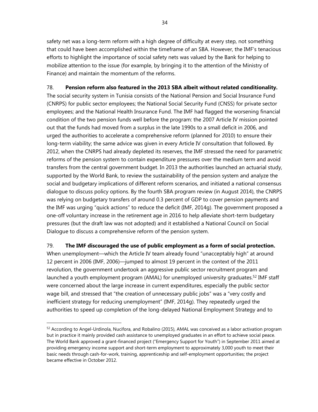safety net was a long-term reform with a high degree of difficulty at every step, not something that could have been accomplished within the timeframe of an SBA. However, the IMF's tenacious efforts to highlight the importance of social safety nets was valued by the Bank for helping to mobilize attention to the issue (for example, by bringing it to the attention of the Ministry of Finance) and maintain the momentum of the reforms.

# 78. **Pension reform also featured in the 2013 SBA albeit without related conditionality.**

The social security system in Tunisia consists of the National Pension and Social Insurance Fund (CNRPS) for public sector employees; the National Social Security Fund (CNSS) for private sector employees; and the National Health Insurance Fund. The IMF had flagged the worsening financial condition of the two pension funds well before the program: the 2007 Article IV mission pointed out that the funds had moved from a surplus in the late 1990s to a small deficit in 2006, and urged the authorities to accelerate a comprehensive reform (planned for 2010) to ensure their long-term viability; the same advice was given in every Article IV consultation that followed. By 2012, when the CNRPS had already depleted its reserves, the IMF stressed the need for parametric reforms of the pension system to contain expenditure pressures over the medium term and avoid transfers from the central government budget. In 2013 the authorities launched an actuarial study, supported by the World Bank, to review the sustainability of the pension system and analyze the social and budgetary implications of different reform scenarios, and initiated a national consensus dialogue to discuss policy options. By the fourth SBA program review (in August 2014), the CNRPS was relying on budgetary transfers of around 0.3 percent of GDP to cover pension payments and the IMF was urging "quick actions" to reduce the deficit (IMF, 2014g). The government proposed a one-off voluntary increase in the retirement age in 2016 to help alleviate short-term budgetary pressures (but the draft law was not adopted) and it established a National Council on Social Dialogue to discuss a comprehensive reform of the pension system.

79. **The IMF discouraged the use of public employment as a form of social protection.** When unemployment—which the Article IV team already found "unacceptably high" at around 12 percent in 2006 (IMF, 2006)—jumped to almost 19 percent in the context of the 2011 revolution, the government undertook an aggressive public sector recruitment program and launched a youth employment program (AMAL) for unemployed university graduates.<sup>52</sup> IMF staff were concerned about the large increase in current expenditures, especially the public sector wage bill, and stressed that "the creation of unnecessary public jobs" was a "very costly and inefficient strategy for reducing unemployment" (IMF, 2014g). They repeatedly urged the authorities to speed up completion of the long-delayed National Employment Strategy and to

<sup>52</sup> According to Angel-Urdinola, Nucifora, and Robalino (2015), AMAL was conceived as a labor activation program but in practice it mainly provided cash assistance to unemployed graduates in an effort to achieve social peace. The World Bank approved a grant-financed project ("Emergency Support for Youth") in September 2011 aimed at providing emergency income support and short-term employment to approximately 3,000 youth to meet their basic needs through cash-for-work, training, apprenticeship and self-employment opportunities; the project became effective in October 2012.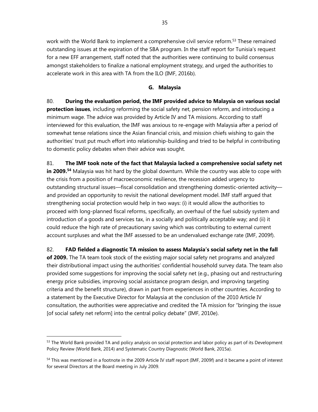work with the World Bank to implement a comprehensive civil service reform.<sup>53</sup> These remained outstanding issues at the expiration of the SBA program. In the staff report for Tunisia's request for a new EFF arrangement, staff noted that the authorities were continuing to build consensus amongst stakeholders to finalize a national employment strategy, and urged the authorities to accelerate work in this area with TA from the ILO (IMF, 2016b).

## **G. Malaysia**

80. **During the evaluation period, the IMF provided advice to Malaysia on various social protection issues**, including reforming the social safety net, pension reform, and introducing a minimum wage. The advice was provided by Article IV and TA missions. According to staff interviewed for this evaluation, the IMF was anxious to re-engage with Malaysia after a period of somewhat tense relations since the Asian financial crisis, and mission chiefs wishing to gain the authorities' trust put much effort into relationship-building and tried to be helpful in contributing to domestic policy debates when their advice was sought.

81. **The IMF took note of the fact that Malaysia lacked a comprehensive social safety net**  in 2009.<sup>54</sup> Malaysia was hit hard by the global downturn. While the country was able to cope with the crisis from a position of macroeconomic resilience, the recession added urgency to outstanding structural issues—fiscal consolidation and strengthening domestic-oriented activity and provided an opportunity to revisit the national development model. IMF staff argued that strengthening social protection would help in two ways: (i) it would allow the authorities to proceed with long-planned fiscal reforms, specifically, an overhaul of the fuel subsidy system and introduction of a goods and services tax, in a socially and politically acceptable way; and (ii) it could reduce the high rate of precautionary saving which was contributing to external current account surpluses and what the IMF assessed to be an undervalued exchange rate (IMF, 2009f).

82. **FAD fielded a diagnostic TA mission to assess Malaysia's social safety net in the fall of 2009.** The TA team took stock of the existing major social safety net programs and analyzed their distributional impact using the authorities' confidential household survey data. The team also provided some suggestions for improving the social safety net (e.g., phasing out and restructuring energy price subsidies, improving social assistance program design, and improving targeting criteria and the benefit structure), drawn in part from experiences in other countries. According to a statement by the Executive Director for Malaysia at the conclusion of the 2010 Article IV consultation, the authorities were appreciative and credited the TA mission for "bringing the issue [of social safety net reform] into the central policy debate" (IMF, 2010e).

<sup>&</sup>lt;sup>53</sup> The World Bank provided TA and policy analysis on social protection and labor policy as part of its Development Policy Review (World Bank, 2014) and Systematic Country Diagnostic (World Bank, 2015a).

<sup>54</sup> This was mentioned in a footnote in the 2009 Article IV staff report (IMF, 2009f) and it became a point of interest for several Directors at the Board meeting in July 2009.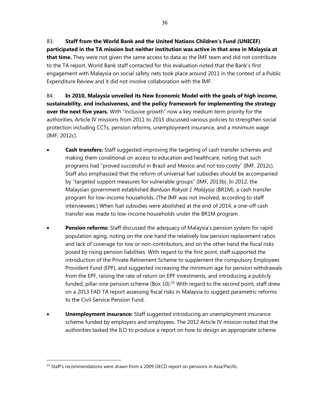83. **Staff from the World Bank and the United Nations Children's Fund (UNICEF) participated in the TA mission but neither institution was active in that area in Malaysia at that time.** They were not given the same access to data as the IMF team and did not contribute to the TA report. World Bank staff contacted for this evaluation noted that the Bank's first engagement with Malaysia on social safety nets took place around 2011 in the context of a Public Expenditure Review and it did not involve collaboration with the IMF.

84. **In 2010, Malaysia unveiled its New Economic Model with the goals of high income, sustainability, and inclusiveness, and the policy framework for implementing the strategy over the next five years.** With "inclusive growth" now a key medium term priority for the authorities, Article IV missions from 2011 to 2015 discussed various policies to strengthen social protection including CCTs, pension reforms, unemployment insurance, and a minimum wage (IMF, 2012c).

- **Cash transfers:** Staff suggested improving the targeting of cash transfer schemes and making them conditional on access to education and healthcare, noting that such programs had "proved successful in Brazil and Mexico and not too costly" (IMF, 2012c). Staff also emphasized that the reform of universal fuel subsidies should be accompanied by "targeted support measures for vulnerable groups" (IMF, 2013b). In 2012, the Malaysian government established *Bantuan Rakyat 1 Malaysia* (BR1M), a cash transfer program for low-income households. (The IMF was not involved, according to staff interviewees.) When fuel subsidies were abolished at the end of 2014, a one-off cash transfer was made to low-income households under the BR1M program.
- **Pension reforms:** Staff discussed the adequacy of Malaysia's pension system for rapid population aging, noting on the one hand the relatively low pension replacement ratios and lack of coverage for low or non-contributors, and on the other hand the fiscal risks posed by rising pension liabilities. With regard to the first point, staff supported the introduction of the Private Retirement Scheme to supplement the compulsory Employees Provident Fund (EPF), and suggested increasing the minimum age for pension withdrawals from the EPF, raising the rate of return on EPF investments, and introducing a publicly funded, pillar-one pension scheme (Box 10).<sup>55</sup> With regard to the second point, staff drew on a 2013 FAD TA report assessing fiscal risks in Malaysia to suggest parametric reforms to the Civil Service Pension Fund.
- **Unemployment insurance:** Staff suggested introducing an unemployment insurance scheme funded by employers and employees. The 2012 Article IV mission noted that the authorities tasked the ILO to produce a report on how to design an appropriate scheme

<sup>&</sup>lt;sup>55</sup> Staff's recommendations were drawn from a 2009 OECD report on pensions in Asia/Pacific.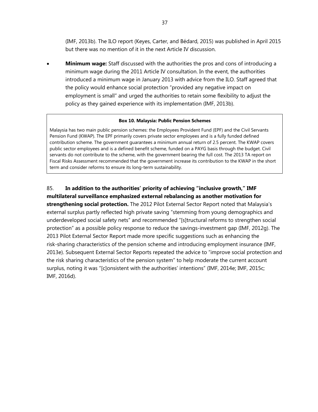(IMF, 2013b). The ILO report (Keyes, Carter, and Bédard, 2015) was published in April 2015 but there was no mention of it in the next Article IV discussion.

 **Minimum wage:** Staff discussed with the authorities the pros and cons of introducing a minimum wage during the 2011 Article IV consultation. In the event, the authorities introduced a minimum wage in January 2013 with advice from the ILO. Staff agreed that the policy would enhance social protection "provided any negative impact on employment is small" and urged the authorities to retain some flexibility to adjust the policy as they gained experience with its implementation (IMF, 2013b).

#### **Box 10. Malaysia: Public Pension Schemes**

Malaysia has two main public pension schemes: the Employees Provident Fund (EPF) and the Civil Servants Pension Fund (KWAP). The EPF primarily covers private sector employees and is a fully funded defined contribution scheme. The government guarantees a minimum annual return of 2.5 percent. The KWAP covers public sector employees and is a defined benefit scheme, funded on a PAYG basis through the budget. Civil servants do not contribute to the scheme, with the government bearing the full cost. The 2013 TA report on Fiscal Risks Assessment recommended that the government increase its contribution to the KWAP in the short term and consider reforms to ensure its long-term sustainability.

# 85. **In addition to the authorities' priority of achieving "inclusive growth," IMF**

**multilateral surveillance emphasized external rebalancing as another motivation for strengthening social protection.** The 2012 Pilot External Sector Report noted that Malaysia's external surplus partly reflected high private saving "stemming from young demographics and underdeveloped social safety nets" and recommended "[s]tructural reforms to strengthen social protection" as a possible policy response to reduce the savings-investment gap (IMF, 2012g). The 2013 Pilot External Sector Report made more specific suggestions such as enhancing the risk-sharing characteristics of the pension scheme and introducing employment insurance (IMF, 2013e). Subsequent External Sector Reports repeated the advice to "improve social protection and the risk sharing characteristics of the pension system" to help moderate the current account surplus, noting it was "[c]onsistent with the authorities' intentions" (IMF, 2014e; IMF, 2015c; IMF, 2016d).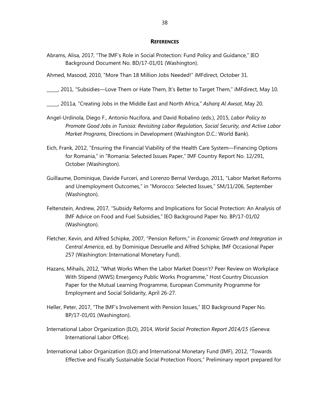#### **REFERENCES**

- Abrams, Alisa, 2017, "The IMF's Role in Social Protection: Fund Policy and Guidance," IEO Background Document No. BD/17-01/01 (Washington).
- Ahmed, Masood, 2010, "More Than 18 Million Jobs Needed!" iMFdirect, October 31.

\_\_\_\_\_, 2011, "Subsidies—Love Them or Hate Them, It's Better to Target Them," iMFdirect, May 10.

\_\_\_\_\_, 2011a, "Creating Jobs in the Middle East and North Africa," *Asharq Al Awsat*, May 20.

- Angel-Urdinola, Diego F., Antonio Nucifora, and David Robalino (eds.), 2015, *Labor Policy to Promote Good Jobs in Tunisia: Revisiting Labor Regulation, Social Security, and Active Labor Market Programs,* Directions in Development (Washington D.C.: World Bank).
- Eich, Frank, 2012, "Ensuring the Financial Viability of the Health Care System—Financing Options for Romania," in "Romania: Selected Issues Paper," IMF Country Report No. 12/291, October (Washington).
- Guillaume, Dominique, Davide Furceri, and Lorenzo Bernal Verdugo, 2011, "Labor Market Reforms and Unemployment Outcomes," in "Morocco: Selected Issues," SM/11/206, September (Washington).
- Feltenstein, Andrew, 2017, "Subsidy Reforms and Implications for Social Protection: An Analysis of IMF Advice on Food and Fuel Subsidies," IEO Background Paper No. BP/17-01/02 (Washington).
- Fletcher, Kevin, and Alfred Schipke, 2007, "Pension Reform," in *Economic Growth and Integration in Central America*, ed. by Dominique Desruelle and Alfred Schipke, IMF Occasional Paper 257 (Washington: International Monetary Fund).
- Hazans, Mihails, 2012, "What Works When the Labor Market Doesn't? Peer Review on Workplace With Stipend (WWS) Emergency Public Works Programme," Host Country Discussion Paper for the Mutual Learning Programme, European Community Programme for Employment and Social Solidarity, April 26-27.
- Heller, Peter, 2017, "The IMF's Involvement with Pension Issues," IEO Background Paper No. BP/17-01/01 (Washington).
- International Labor Organization (ILO), 2014, *World Social Protection Report 2014/15* (Geneva: International Labor Office).
- International Labor Organization (ILO) and International Monetary Fund (IMF), 2012, "Towards Effective and Fiscally Sustainable Social Protection Floors," Preliminary report prepared for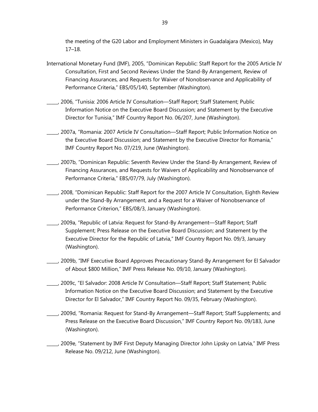the meeting of the G20 Labor and Employment Ministers in Guadalajara (Mexico), May 17–18.

- International Monetary Fund (IMF), 2005, "Dominican Republic: Staff Report for the 2005 Article IV Consultation, First and Second Reviews Under the Stand-By Arrangement, Review of Financing Assurances, and Requests for Waiver of Nonobservance and Applicability of Performance Criteria," EBS/05/140, September (Washington).
- \_\_\_\_\_, 2006, "Tunisia: 2006 Article IV Consultation—Staff Report; Staff Statement; Public Information Notice on the Executive Board Discussion; and Statement by the Executive Director for Tunisia," IMF Country Report No. 06/207, June (Washington).
- \_\_\_\_\_, 2007a, "Romania: 2007 Article IV Consultation—Staff Report; Public Information Notice on the Executive Board Discussion; and Statement by the Executive Director for Romania," IMF Country Report No. 07/219, June (Washington).
- \_\_\_\_\_, 2007b, "Dominican Republic: Seventh Review Under the Stand-By Arrangement, Review of Financing Assurances, and Requests for Waivers of Applicability and Nonobservance of Performance Criteria," EBS/07/79, July (Washington).
- \_\_\_\_\_, 2008, "Dominican Republic: Staff Report for the 2007 Article IV Consultation, Eighth Review under the Stand-By Arrangement, and a Request for a Waiver of Nonobservance of Performance Criterion," EBS/08/3, January (Washington).
- \_\_\_\_\_, 2009a, "Republic of Latvia: Request for Stand-By Arrangement—Staff Report; Staff Supplement; Press Release on the Executive Board Discussion; and Statement by the Executive Director for the Republic of Latvia," IMF Country Report No. 09/3, January (Washington).
- \_\_\_\_\_, 2009b, "IMF Executive Board Approves Precautionary Stand-By Arrangement for El Salvador of About \$800 Million," IMF Press Release No. 09/10, January (Washington).
- \_\_\_\_\_, 2009c, "El Salvador: 2008 Article IV Consultation—Staff Report; Staff Statement; Public Information Notice on the Executive Board Discussion; and Statement by the Executive Director for El Salvador," IMF Country Report No. 09/35, February (Washington).
- \_\_\_\_\_, 2009d, "Romania: Request for Stand-By Arrangement—Staff Report; Staff Supplements; and Press Release on the Executive Board Discussion," IMF Country Report No. 09/183, June (Washington).
- \_\_\_\_\_, 2009e, "Statement by IMF First Deputy Managing Director John Lipsky on Latvia," IMF Press Release No. 09/212, June (Washington).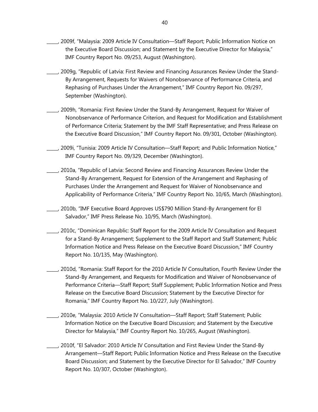- \_\_\_\_\_, 2009f, "Malaysia: 2009 Article IV Consultation—Staff Report; Public Information Notice on the Executive Board Discussion; and Statement by the Executive Director for Malaysia," IMF Country Report No. 09/253, August (Washington).
- \_\_\_\_\_, 2009g, "Republic of Latvia: First Review and Financing Assurances Review Under the Stand-By Arrangement, Requests for Waivers of Nonobservance of Performance Criteria, and Rephasing of Purchases Under the Arrangement," IMF Country Report No. 09/297, September (Washington).
- \_\_\_\_\_, 2009h, "Romania: First Review Under the Stand-By Arrangement, Request for Waiver of Nonobservance of Performance Criterion, and Request for Modification and Establishment of Performance Criteria; Statement by the IMF Staff Representative; and Press Release on the Executive Board Discussion," IMF Country Report No. 09/301, October (Washington).
- \_\_\_\_\_, 2009i, "Tunisia: 2009 Article IV Consultation—Staff Report; and Public Information Notice," IMF Country Report No. 09/329, December (Washington).
- \_\_\_\_\_, 2010a, "Republic of Latvia: Second Review and Financing Assurances Review Under the Stand-By Arrangement, Request for Extension of the Arrangement and Rephasing of Purchases Under the Arrangement and Request for Waiver of Nonobservance and Applicability of Performance Criteria," IMF Country Report No. 10/65, March (Washington).
- \_\_\_\_\_, 2010b, "IMF Executive Board Approves US\$790 Million Stand-By Arrangement for El Salvador," IMF Press Release No. 10/95, March (Washington).
- \_\_\_\_\_, 2010c, "Dominican Republic: Staff Report for the 2009 Article IV Consultation and Request for a Stand-By Arrangement; Supplement to the Staff Report and Staff Statement; Public Information Notice and Press Release on the Executive Board Discussion," IMF Country Report No. 10/135, May (Washington).
- \_\_\_\_\_, 2010d, "Romania: Staff Report for the 2010 Article IV Consultation, Fourth Review Under the Stand-By Arrangement, and Requests for Modification and Waiver of Nonobservance of Performance Criteria—Staff Report; Staff Supplement; Public Information Notice and Press Release on the Executive Board Discussion; Statement by the Executive Director for Romania," IMF Country Report No. 10/227, July (Washington).
	- \_\_\_\_\_, 2010e, "Malaysia: 2010 Article IV Consultation—Staff Report; Staff Statement; Public Information Notice on the Executive Board Discussion; and Statement by the Executive Director for Malaysia," IMF Country Report No. 10/265, August (Washington).
- \_\_\_\_\_, 2010f, "El Salvador: 2010 Article IV Consultation and First Review Under the Stand-By Arrangement—Staff Report; Public Information Notice and Press Release on the Executive Board Discussion; and Statement by the Executive Director for El Salvador," IMF Country Report No. 10/307, October (Washington).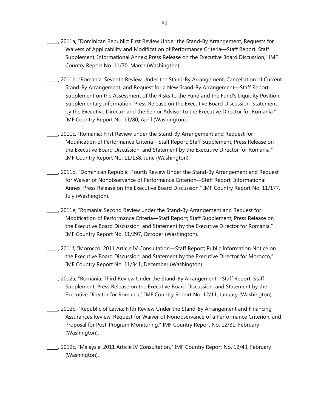- \_\_\_\_\_, 2011a, "Dominican Republic: First Review Under the Stand-By Arrangement, Requests for Waivers of Applicability and Modification of Performance Criteria—Staff Report; Staff Supplement; Informational Annex; Press Release on the Executive Board Discussion," IMF Country Report No. 11/70, March (Washington).
- \_\_\_\_\_, 2011b, "Romania: Seventh Review Under the Stand-By Arrangement, Cancellation of Current Stand-By Arrangement, and Request for a New Stand-By Arrangement—Staff Report; Supplement on the Assessment of the Risks to the Fund and the Fund's Liquidity Position; Supplementary Information; Press Release on the Executive Board Discussion; Statement by the Executive Director and the Senior Advisor to the Executive Director for Romania," IMF Country Report No. 11/80, April (Washington).
- \_\_\_\_\_, 2011c, "Romania: First Review under the Stand-By Arrangement and Request for Modification of Performance Criteria—Staff Report; Staff Supplement; Press Release on the Executive Board Discussion; and Statement by the Executive Director for Romania," IMF Country Report No. 11/158, June (Washington).
- \_\_\_\_\_, 2011d, "Dominican Republic: Fourth Review Under the Stand-By Arrangement and Request for Waiver of Nonobservance of Performance Criterion—Staff Report; Informational Annex; Press Release on the Executive Board Discussion," IMF Country Report No. 11/177, July (Washington).
- \_\_\_\_\_, 2011e, "Romania: Second Review under the Stand-By Arrangement and Request for Modification of Performance Criteria—Staff Report; Staff Supplement; Press Release on the Executive Board Discussion; and Statement by the Executive Director for Romania," IMF Country Report No. 11/297, October (Washington).
- \_\_\_\_\_, 2011f, "Morocco: 2011 Article IV Consultation—Staff Report; Public Information Notice on the Executive Board Discussion; and Statement by the Executive Director for Morocco," IMF Country Report No. 11/341, December (Washington).
- \_\_\_\_\_, 2012a, "Romania: Third Review Under the Stand-By Arrangement—Staff Report; Staff Supplement; Press Release on the Executive Board Discussion; and Statement by the Executive Director for Romania," IMF Country Report No. 12/11, January (Washington).
- \_\_\_\_\_, 2012b, "Republic of Latvia: Fifth Review Under the Stand-By Arrangement and Financing Assurances Review, Request for Waiver of Nonobservance of a Performance Criterion, and Proposal for Post-Program Monitoring," IMF Country Report No. 12/31, February (Washington).
- \_\_\_\_\_, 2012c, "Malaysia: 2011 Article IV Consultation," IMF Country Report No. 12/43, February (Washington).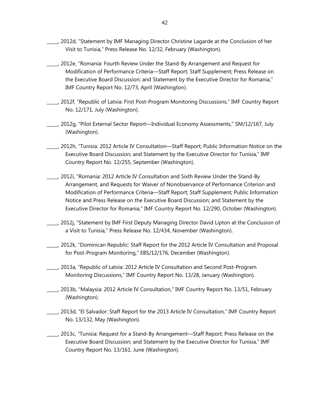- \_\_\_\_\_, 2012d, "Statement by IMF Managing Director Christine Lagarde at the Conclusion of her Visit to Tunisia," Press Release No. 12/32, February (Washington).
- \_\_\_\_\_, 2012e, "Romania: Fourth Review Under the Stand-By Arrangement and Request for Modification of Performance Criteria—Staff Report; Staff Supplement; Press Release on the Executive Board Discussion; and Statement by the Executive Director for Romania," IMF Country Report No. 12/73, April (Washington).
- \_\_\_\_\_, 2012f, "Republic of Latvia: First Post-Program Monitoring Discussions," IMF Country Report No. 12/171, July (Washington).
- \_\_\_\_\_, 2012g, "Pilot External Sector Report—Individual Economy Assessments," SM/12/167, July (Washington).
- \_\_\_\_\_, 2012h, "Tunisia: 2012 Article IV Consultation—Staff Report; Public Information Notice on the Executive Board Discussion; and Statement by the Executive Director for Tunisia," IMF Country Report No. 12/255, September (Washington).
- \_\_\_\_\_, 2012i, "Romania: 2012 Article IV Consultation and Sixth Review Under the Stand-By Arrangement, and Requests for Waiver of Nonobservance of Performance Criterion and Modification of Performance Criteria—Staff Report; Staff Supplement; Public Information Notice and Press Release on the Executive Board Discussion; and Statement by the Executive Director for Romania," IMF Country Report No. 12/290, October (Washington).
- \_\_\_\_\_, 2012j, "Statement by IMF First Deputy Managing Director David Lipton at the Conclusion of a Visit to Tunisia," Press Release No. 12/434, November (Washington).
- \_\_\_\_\_, 2012k, "Dominican Republic: Staff Report for the 2012 Article IV Consultation and Proposal for Post-Program Monitoring," EBS/12/176, December (Washington).
- \_\_\_\_\_, 2013a, "Republic of Latvia: 2012 Article IV Consultation and Second Post-Program Monitoring Discussions," IMF Country Report No. 13/28, January (Washington).
- \_\_\_\_\_, 2013b, "Malaysia: 2012 Article IV Consultation," IMF Country Report No. 13/51, February (Washington).
- \_\_\_\_\_, 2013d, "El Salvador: Staff Report for the 2013 Article IV Consultation," IMF Country Report No. 13/132, May (Washington).
- \_\_\_\_\_, 2013c, "Tunisia: Request for a Stand-By Arrangement—Staff Report; Press Release on the Executive Board Discussion; and Statement by the Executive Director for Tunisia," IMF Country Report No. 13/161, June (Washington).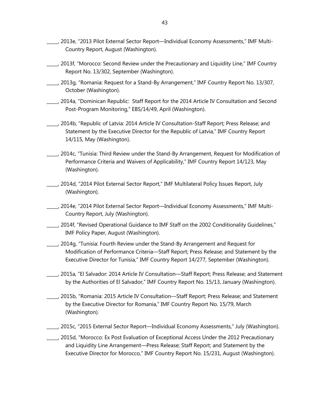- \_\_\_\_\_, 2013e, "2013 Pilot External Sector Report—Individual Economy Assessments," IMF Multi-Country Report, August (Washington).
- \_\_\_\_\_, 2013f, "Morocco: Second Review under the Precautionary and Liquidity Line," IMF Country Report No. 13/302, September (Washington).
- \_\_\_\_\_, 2013g, "Romania: Request for a Stand-By Arrangement," IMF Country Report No. 13/307, October (Washington).
- \_\_\_\_\_, 2014a, "Dominican Republic: Staff Report for the 2014 Article IV Consultation and Second Post-Program Monitoring," EBS/14/49, April (Washington).
- \_\_\_\_\_, 2014b, "Republic of Latvia: 2014 Article IV Consultation-Staff Report; Press Release; and Statement by the Executive Director for the Republic of Latvia," IMF Country Report 14/115, May (Washington).
- \_\_\_\_\_, 2014c, "Tunisia: Third Review under the Stand-By Arrangement, Request for Modification of Performance Criteria and Waivers of Applicability," IMF Country Report 14/123, May (Washington).
- \_\_\_\_\_, 2014d, "2014 Pilot External Sector Report," IMF Multilateral Policy Issues Report, July (Washington).
- \_\_\_\_\_, 2014e, "2014 Pilot External Sector Report—Individual Economy Assessments," IMF Multi-Country Report, July (Washington).
- \_\_\_\_\_, 2014f, "Revised Operational Guidance to IMF Staff on the 2002 Conditionality Guidelines," IMF Policy Paper, August (Washington).
- \_\_\_\_\_, 2014g, "Tunisia: Fourth Review under the Stand-By Arrangement and Request for Modification of Performance Criteria—Staff Report; Press Release; and Statement by the Executive Director for Tunisia," IMF Country Report 14/277, September (Washington).
- \_\_\_\_\_, 2015a, "El Salvador: 2014 Article IV Consultation—Staff Report; Press Release; and Statement by the Authorities of El Salvador," IMF Country Report No. 15/13, January (Washington).
- \_\_\_\_\_, 2015b, "Romania: 2015 Article IV Consultation—Staff Report; Press Release; and Statement by the Executive Director for Romania," IMF Country Report No. 15/79, March (Washington).
- \_\_\_\_\_, 2015c, "2015 External Sector Report—Individual Economy Assessments," July (Washington).
- \_\_\_\_\_, 2015d, "Morocco: Ex Post Evaluation of Exceptional Access Under the 2012 Precautionary and Liquidity Line Arrangement—Press Release; Staff Report; and Statement by the Executive Director for Morocco," IMF Country Report No. 15/231, August (Washington).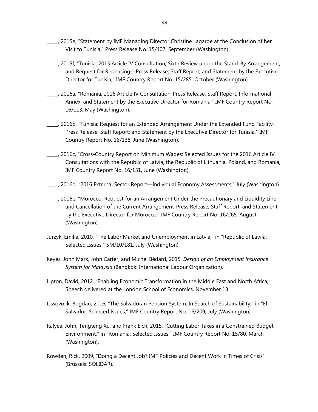- \_\_\_\_\_, 2015e, "Statement by IMF Managing Director Christine Lagarde at the Conclusion of her Visit to Tunisia," Press Release No. 15/407, September (Washington).
- \_\_\_\_\_, 2015f, "Tunisia: 2015 Article IV Consultation, Sixth Review under the Stand-By Arrangement, and Request for Rephasing—Press Release; Staff Report; and Statement by the Executive Director for Tunisia," IMF Country Report No. 15/285, October (Washington).
- \_\_\_\_\_, 2016a, "Romania: 2016 Article IV Consultation-Press Release; Staff Report; Informational Annex; and Statement by the Executive Director for Romania," IMF Country Report No. 16/113, May (Washington).
- \_\_\_\_\_, 2016b, "Tunisia: Request for an Extended Arrangement Under the Extended Fund Facility-Press Release; Staff Report; and Statement by the Executive Director for Tunisia," IMF Country Report No. 16/138, June (Washington).
- \_\_\_\_\_, 2016c, "Cross-Country Report on Minimum Wages: Selected Issues for the 2016 Article IV Consultations with the Republic of Latvia, the Republic of Lithuania, Poland, and Romania," IMF Country Report No. 16/151, June (Washington).
- \_\_\_\_\_, 2016d, "2016 External Sector Report—Individual Economy Assessments," July (Washington).
- \_\_\_\_\_, 2016e, "Morocco: Request for an Arrangement Under the Precautionary and Liquidity Line and Cancellation of the Current Arrangement-Press Release; Staff Report; and Statement by the Executive Director for Morocco," IMF Country Report No. 16/265, August (Washington).
- Jurzyk, Emilia, 2010, "The Labor Market and Unemployment in Latvia," in "Republic of Latvia: Selected Issues," SM/10/181, July (Washington).
- Keyes, John Mark, John Carter, and Michel Bédard, 2015, *Design of an Employment Insurance System for Malaysia* (Bangkok: International Labour Organization).
- Lipton, David, 2012, "Enabling Economic Transformation in the Middle East and North Africa," Speech delivered at the London School of Economics, November 13.
- Lissovolik, Bogdan, 2016, "The Salvadoran Pension System: In Search of Sustainability," in "El Salvador: Selected Issues," IMF Country Report No. 16/209, July (Washington).
- Ralyea, John, Tengteng Xu, and Frank Eich, 2015, "Cutting Labor Taxes in a Constrained Budget Environment," in "Romania: Selected Issues," IMF Country Report No. 15/80, March (Washington).
- Rowden, Rick, 2009, "Doing a Decent Job? IMF Policies and Decent Work in Times of Crisis" (Brussels: SOLIDAR).